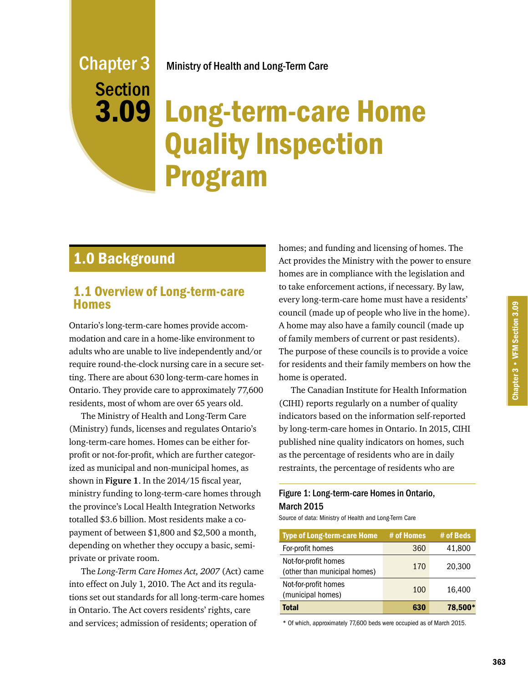### Ministry of Health and Long-Term Care

# Long-term-care Home Quality Inspection Program

# 1.0 Background

Chapter 3

Section

3.09

### 1.1 Overview of Long-term-care Homes

Ontario's long-term-care homes provide accommodation and care in a home-like environment to adults who are unable to live independently and/or require round-the-clock nursing care in a secure setting. There are about 630 long-term-care homes in Ontario. They provide care to approximately 77,600 residents, most of whom are over 65 years old.

The Ministry of Health and Long-Term Care (Ministry) funds, licenses and regulates Ontario's long-term-care homes. Homes can be either forprofit or not-for-profit, which are further categorized as municipal and non-municipal homes, as shown in **Figure 1**. In the 2014/15 fiscal year, ministry funding to long-term-care homes through the province's Local Health Integration Networks totalled \$3.6 billion. Most residents make a copayment of between \$1,800 and \$2,500 a month, depending on whether they occupy a basic, semiprivate or private room.

The *Long-Term Care Homes Act, 2007* (Act) came into effect on July 1, 2010. The Act and its regulations set out standards for all long-term-care homes in Ontario. The Act covers residents' rights, care and services; admission of residents; operation of

homes; and funding and licensing of homes. The Act provides the Ministry with the power to ensure homes are in compliance with the legislation and to take enforcement actions, if necessary. By law, every long-term-care home must have a residents' council (made up of people who live in the home). A home may also have a family council (made up of family members of current or past residents). The purpose of these councils is to provide a voice for residents and their family members on how the home is operated.

The Canadian Institute for Health Information (CIHI) reports regularly on a number of quality indicators based on the information self-reported by long-term-care homes in Ontario. In 2015, CIHI published nine quality indicators on homes, such as the percentage of residents who are in daily restraints, the percentage of residents who are

### Figure 1: Long-term-care Homes in Ontario, March 2015

Source of data: Ministry of Health and Long-Term Care

| <b>Type of Long-term-care Home</b>                   | # of Homes | # of Beds |
|------------------------------------------------------|------------|-----------|
| For-profit homes                                     | 360        | 41,800    |
| Not-for-profit homes<br>(other than municipal homes) | 170        | 20,300    |
| Not-for-profit homes<br>(municipal homes)            | 100        | 16,400    |
| <b>Total</b>                                         | 630        | 78,500*   |

\* Of which, approximately 77,600 beds were occupied as of March 2015.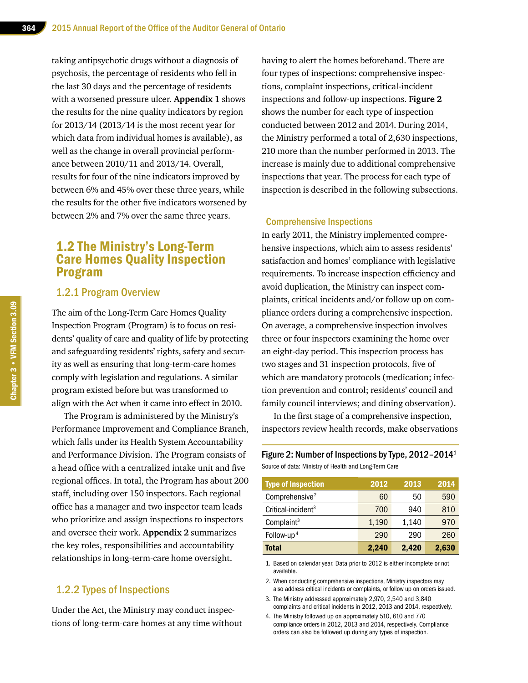taking antipsychotic drugs without a diagnosis of psychosis, the percentage of residents who fell in the last 30 days and the percentage of residents with a worsened pressure ulcer. **Appendix 1** shows the results for the nine quality indicators by region for 2013/14 (2013/14 is the most recent year for which data from individual homes is available), as well as the change in overall provincial performance between 2010/11 and 2013/14. Overall, results for four of the nine indicators improved by between 6% and 45% over these three years, while the results for the other five indicators worsened by between 2% and 7% over the same three years.

### 1.2 The Ministry's Long-Term Care Homes Quality Inspection Program

### 1.2.1 Program Overview

The aim of the Long-Term Care Homes Quality Inspection Program (Program) is to focus on residents' quality of care and quality of life by protecting and safeguarding residents' rights, safety and security as well as ensuring that long-term-care homes comply with legislation and regulations. A similar program existed before but was transformed to align with the Act when it came into effect in 2010.

The Program is administered by the Ministry's Performance Improvement and Compliance Branch, which falls under its Health System Accountability and Performance Division. The Program consists of a head office with a centralized intake unit and five regional offices. In total, the Program has about 200 staff, including over 150 inspectors. Each regional office has a manager and two inspector team leads who prioritize and assign inspections to inspectors and oversee their work. **Appendix 2** summarizes the key roles, responsibilities and accountability relationships in long-term-care home oversight.

#### 1.2.2 Types of Inspections

Under the Act, the Ministry may conduct inspections of long-term-care homes at any time without having to alert the homes beforehand. There are four types of inspections: comprehensive inspections, complaint inspections, critical-incident inspections and follow-up inspections. **Figure 2** shows the number for each type of inspection conducted between 2012 and 2014. During 2014, the Ministry performed a total of 2,630 inspections, 210 more than the number performed in 2013. The increase is mainly due to additional comprehensive inspections that year. The process for each type of inspection is described in the following subsections.

#### Comprehensive Inspections

In early 2011, the Ministry implemented comprehensive inspections, which aim to assess residents' satisfaction and homes' compliance with legislative requirements. To increase inspection efficiency and avoid duplication, the Ministry can inspect complaints, critical incidents and/or follow up on compliance orders during a comprehensive inspection. On average, a comprehensive inspection involves three or four inspectors examining the home over an eight-day period. This inspection process has two stages and 31 inspection protocols, five of which are mandatory protocols (medication; infection prevention and control; residents' council and family council interviews; and dining observation).

In the first stage of a comprehensive inspection, inspectors review health records, make observations

#### Figure 2: Number of Inspections by Type, 2012–20141 Source of data: Ministry of Health and Long-Term Care

| <b>Type of Inspection</b>      | 2012  | 2013  | 2014  |
|--------------------------------|-------|-------|-------|
| Comprehensive <sup>2</sup>     | 60    | 50    | 590   |
| Critical-incident <sup>3</sup> | 700   | 940   | 810   |
| Complaint <sup>3</sup>         | 1,190 | 1,140 | 970   |
| Follow-up <sup>4</sup>         | 290   | 290   | 260   |
| Total                          | 2,240 | 2,420 | 2,630 |

1. Based on calendar year. Data prior to 2012 is either incomplete or not available.

2. When conducting comprehensive inspections, Ministry inspectors may also address critical incidents or complaints, or follow up on orders issued.

- 3. The Ministry addressed approximately 2,970, 2,540 and 3,840 complaints and critical incidents in 2012, 2013 and 2014, respectively.
- 4. The Ministry followed up on approximately 510, 610 and 770 compliance orders in 2012, 2013 and 2014, respectively. Compliance orders can also be followed up during any types of inspection.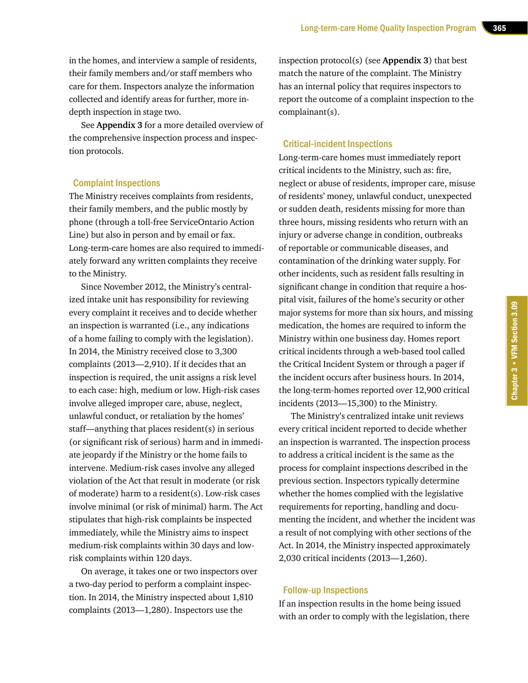in the homes, and interview a sample of residents, their family members and/or staff members who care for them. Inspectors analyze the information collected and identify areas for further, more indepth inspection in stage two.

See **Appendix 3** for a more detailed overview of the comprehensive inspection process and inspection protocols.

#### Complaint Inspections

The Ministry receives complaints from residents, their family members, and the public mostly by phone (through a toll-free ServiceOntario Action Line) but also in person and by email or fax. Long-term-care homes are also required to immediately forward any written complaints they receive to the Ministry.

Since November 2012, the Ministry's centralized intake unit has responsibility for reviewing every complaint it receives and to decide whether an inspection is warranted (i.e., any indications of a home failing to comply with the legislation). In 2014, the Ministry received close to 3,300 complaints (2013—2,910). If it decides that an inspection is required, the unit assigns a risk level to each case: high, medium or low. High-risk cases involve alleged improper care, abuse, neglect, unlawful conduct, or retaliation by the homes' staff—anything that places resident(s) in serious (or significant risk of serious) harm and in immediate jeopardy if the Ministry or the home fails to intervene. Medium-risk cases involve any alleged violation of the Act that result in moderate (or risk of moderate) harm to a resident(s). Low-risk cases involve minimal (or risk of minimal) harm. The Act stipulates that high-risk complaints be inspected immediately, while the Ministry aims to inspect medium-risk complaints within 30 days and lowrisk complaints within 120 days.

On average, it takes one or two inspectors over a two-day period to perform a complaint inspection. In 2014, the Ministry inspected about 1,810 complaints (2013—1,280). Inspectors use the

inspection protocol(s) (see **Appendix 3**) that best match the nature of the complaint. The Ministry has an internal policy that requires inspectors to report the outcome of a complaint inspection to the complainant(s).

#### Critical-incident Inspections

Long-term-care homes must immediately report critical incidents to the Ministry, such as: fire, neglect or abuse of residents, improper care, misuse of residents' money, unlawful conduct, unexpected or sudden death, residents missing for more than three hours, missing residents who return with an injury or adverse change in condition, outbreaks of reportable or communicable diseases, and contamination of the drinking water supply. For other incidents, such as resident falls resulting in significant change in condition that require a hospital visit, failures of the home's security or other major systems for more than six hours, and missing medication, the homes are required to inform the Ministry within one business day. Homes report critical incidents through a web-based tool called the Critical Incident System or through a pager if the incident occurs after business hours. In 2014, the long-term-homes reported over 12,900 critical incidents (2013—15,300) to the Ministry.

The Ministry's centralized intake unit reviews every critical incident reported to decide whether an inspection is warranted. The inspection process to address a critical incident is the same as the process for complaint inspections described in the previous section. Inspectors typically determine whether the homes complied with the legislative requirements for reporting, handling and documenting the incident, and whether the incident was a result of not complying with other sections of the Act. In 2014, the Ministry inspected approximately 2,030 critical incidents (2013—1,260).

#### Follow-up Inspections

If an inspection results in the home being issued with an order to comply with the legislation, there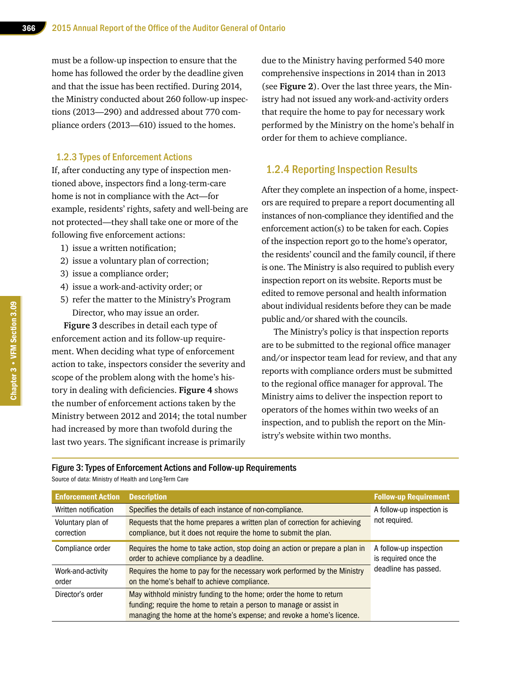must be a follow-up inspection to ensure that the home has followed the order by the deadline given and that the issue has been rectified. During 2014, the Ministry conducted about 260 follow-up inspections (2013—290) and addressed about 770 compliance orders (2013—610) issued to the homes.

#### 1.2.3 Types of Enforcement Actions

If, after conducting any type of inspection mentioned above, inspectors find a long-term-care home is not in compliance with the Act—for example, residents' rights, safety and well-being are not protected—they shall take one or more of the following five enforcement actions:

- 1) issue a written notification;
- 2) issue a voluntary plan of correction;
- 3) issue a compliance order;
- 4) issue a work-and-activity order; or
- 5) refer the matter to the Ministry's Program Director, who may issue an order.

**Figure 3** describes in detail each type of enforcement action and its follow-up requirement. When deciding what type of enforcement action to take, inspectors consider the severity and scope of the problem along with the home's history in dealing with deficiencies. **Figure 4** shows the number of enforcement actions taken by the Ministry between 2012 and 2014; the total number had increased by more than twofold during the last two years. The significant increase is primarily

due to the Ministry having performed 540 more comprehensive inspections in 2014 than in 2013 (see **Figure 2**). Over the last three years, the Ministry had not issued any work-and-activity orders that require the home to pay for necessary work performed by the Ministry on the home's behalf in order for them to achieve compliance.

#### 1.2.4 Reporting Inspection Results

After they complete an inspection of a home, inspectors are required to prepare a report documenting all instances of non-compliance they identified and the enforcement action(s) to be taken for each. Copies of the inspection report go to the home's operator, the residents' council and the family council, if there is one. The Ministry is also required to publish every inspection report on its website. Reports must be edited to remove personal and health information about individual residents before they can be made public and/or shared with the councils.

The Ministry's policy is that inspection reports are to be submitted to the regional office manager and/or inspector team lead for review, and that any reports with compliance orders must be submitted to the regional office manager for approval. The Ministry aims to deliver the inspection report to operators of the homes within two weeks of an inspection, and to publish the report on the Ministry's website within two months.

#### Figure 3: Types of Enforcement Actions and Follow-up Requirements

Source of data: Ministry of Health and Long-Term Care

| <b>Enforcement Action</b>       | <b>Description</b>                                                                                                                                                                                                  | <b>Follow-up Requirement</b>                   |
|---------------------------------|---------------------------------------------------------------------------------------------------------------------------------------------------------------------------------------------------------------------|------------------------------------------------|
| Written notification            | Specifies the details of each instance of non-compliance.                                                                                                                                                           | A follow-up inspection is                      |
| Voluntary plan of<br>correction | Requests that the home prepares a written plan of correction for achieving<br>compliance, but it does not require the home to submit the plan.                                                                      | not required.                                  |
| Compliance order                | Requires the home to take action, stop doing an action or prepare a plan in<br>order to achieve compliance by a deadline.                                                                                           | A follow-up inspection<br>is required once the |
| Work-and-activity<br>order      | Requires the home to pay for the necessary work performed by the Ministry<br>on the home's behalf to achieve compliance.                                                                                            | deadline has passed.                           |
| Director's order                | May withhold ministry funding to the home; order the home to return<br>funding; require the home to retain a person to manage or assist in<br>managing the home at the home's expense; and revoke a home's licence. |                                                |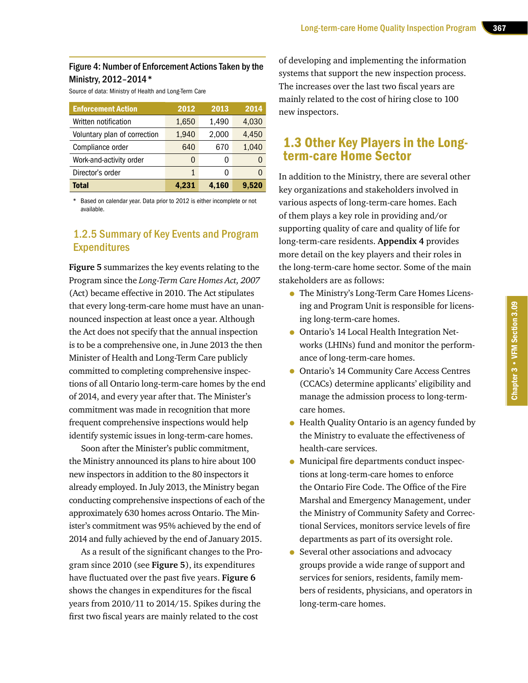#### Figure 4: Number of Enforcement Actions Taken by the Ministry, 2012–2014\*

Source of data: Ministry of Health and Long-Term Care

| <b>Enforcement Action</b>    | 2012         | 2013  | 2014  |
|------------------------------|--------------|-------|-------|
| Written notification         | 1,650        | 1,490 | 4,030 |
| Voluntary plan of correction | 1,940        | 2,000 | 4,450 |
| Compliance order             | 640          | 670   | 1,040 |
| Work-and-activity order      | $\mathbf{0}$ | 0     |       |
| Director's order             | 1            | 0     |       |
| <b>Total</b>                 | 4,231        | 4,160 | 9.520 |

Based on calendar year. Data prior to 2012 is either incomplete or not available.

### 1.2.5 Summary of Key Events and Program **Expenditures**

**Figure 5** summarizes the key events relating to the Program since the *Long-Term Care Homes Act, 2007* (Act) became effective in 2010. The Act stipulates that every long-term-care home must have an unannounced inspection at least once a year. Although the Act does not specify that the annual inspection is to be a comprehensive one, in June 2013 the then Minister of Health and Long-Term Care publicly committed to completing comprehensive inspections of all Ontario long-term-care homes by the end of 2014, and every year after that. The Minister's commitment was made in recognition that more frequent comprehensive inspections would help identify systemic issues in long-term-care homes.

Soon after the Minister's public commitment, the Ministry announced its plans to hire about 100 new inspectors in addition to the 80 inspectors it already employed. In July 2013, the Ministry began conducting comprehensive inspections of each of the approximately 630 homes across Ontario. The Minister's commitment was 95% achieved by the end of 2014 and fully achieved by the end of January 2015.

As a result of the significant changes to the Program since 2010 (see **Figure 5**), its expenditures have fluctuated over the past five years. **Figure 6** shows the changes in expenditures for the fiscal years from 2010/11 to 2014/15. Spikes during the first two fiscal years are mainly related to the cost

of developing and implementing the information systems that support the new inspection process. The increases over the last two fiscal years are mainly related to the cost of hiring close to 100 new inspectors.

### 1.3 Other Key Players in the Longterm-care Home Sector

In addition to the Ministry, there are several other key organizations and stakeholders involved in various aspects of long-term-care homes. Each of them plays a key role in providing and/or supporting quality of care and quality of life for long-term-care residents. **Appendix 4** provides more detail on the key players and their roles in the long-term-care home sector. Some of the main stakeholders are as follows:

- The Ministry's Long-Term Care Homes Licensing and Program Unit is responsible for licensing long-term-care homes.
- Ontario's 14 Local Health Integration Networks (LHINs) fund and monitor the performance of long-term-care homes.
- Ontario's 14 Community Care Access Centres (CCACs) determine applicants' eligibility and manage the admission process to long-termcare homes.
- Health Quality Ontario is an agency funded by the Ministry to evaluate the effectiveness of health-care services.
- Municipal fire departments conduct inspections at long-term-care homes to enforce the Ontario Fire Code. The Office of the Fire Marshal and Emergency Management, under the Ministry of Community Safety and Correctional Services, monitors service levels of fire departments as part of its oversight role.
- Several other associations and advocacy groups provide a wide range of support and services for seniors, residents, family members of residents, physicians, and operators in long-term-care homes.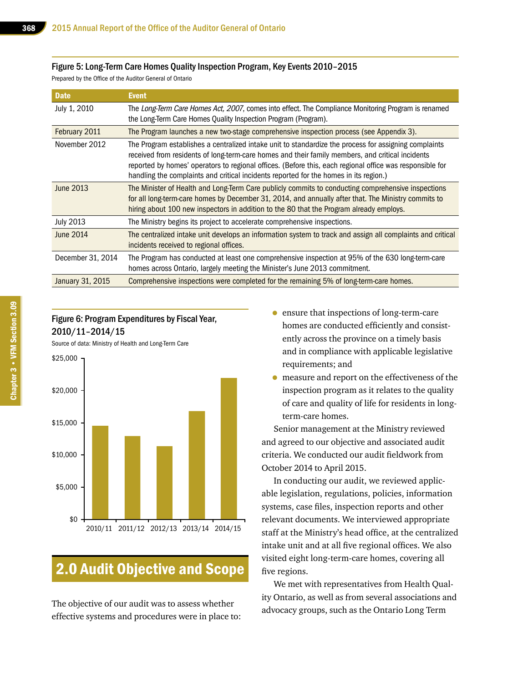#### Figure 5: Long-Term Care Homes Quality Inspection Program, Key Events 2010–2015

Prepared by the Office of the Auditor General of Ontario

| <b>Date</b>       | <b>Event</b>                                                                                                                                                                                                                                                                                                                                                                                                   |
|-------------------|----------------------------------------------------------------------------------------------------------------------------------------------------------------------------------------------------------------------------------------------------------------------------------------------------------------------------------------------------------------------------------------------------------------|
| July 1, 2010      | The Long-Term Care Homes Act, 2007, comes into effect. The Compliance Monitoring Program is renamed<br>the Long-Term Care Homes Quality Inspection Program (Program).                                                                                                                                                                                                                                          |
| February 2011     | The Program launches a new two-stage comprehensive inspection process (see Appendix 3).                                                                                                                                                                                                                                                                                                                        |
| November 2012     | The Program establishes a centralized intake unit to standardize the process for assigning complaints<br>received from residents of long-term-care homes and their family members, and critical incidents<br>reported by homes' operators to regional offices. (Before this, each regional office was responsible for<br>handling the complaints and critical incidents reported for the homes in its region.) |
| June 2013         | The Minister of Health and Long-Term Care publicly commits to conducting comprehensive inspections<br>for all long-term-care homes by December 31, 2014, and annually after that. The Ministry commits to<br>hiring about 100 new inspectors in addition to the 80 that the Program already employs.                                                                                                           |
| <b>July 2013</b>  | The Ministry begins its project to accelerate comprehensive inspections.                                                                                                                                                                                                                                                                                                                                       |
| June 2014         | The centralized intake unit develops an information system to track and assign all complaints and critical<br>incidents received to regional offices.                                                                                                                                                                                                                                                          |
| December 31, 2014 | The Program has conducted at least one comprehensive inspection at 95% of the 630 long-term-care<br>homes across Ontario, largely meeting the Minister's June 2013 commitment.                                                                                                                                                                                                                                 |
| January 31, 2015  | Comprehensive inspections were completed for the remaining 5% of long-term-care homes.                                                                                                                                                                                                                                                                                                                         |

### Figure 6: Program Expenditures by Fiscal Year, 2010/11–2014/15

Source of data: Ministry of Health and Long-Term Care



# 2.0 Audit Objective and Scope

The objective of our audit was to assess whether effective systems and procedures were in place to:

- ensure that inspections of long-term-care homes are conducted efficiently and consistently across the province on a timely basis and in compliance with applicable legislative requirements; and
- measure and report on the effectiveness of the inspection program as it relates to the quality of care and quality of life for residents in longterm-care homes.

Senior management at the Ministry reviewed and agreed to our objective and associated audit criteria. We conducted our audit fieldwork from October 2014 to April 2015.

In conducting our audit, we reviewed applicable legislation, regulations, policies, information systems, case files, inspection reports and other relevant documents. We interviewed appropriate staff at the Ministry's head office, at the centralized intake unit and at all five regional offices. We also visited eight long-term-care homes, covering all five regions.

We met with representatives from Health Quality Ontario, as well as from several associations and advocacy groups, such as the Ontario Long Term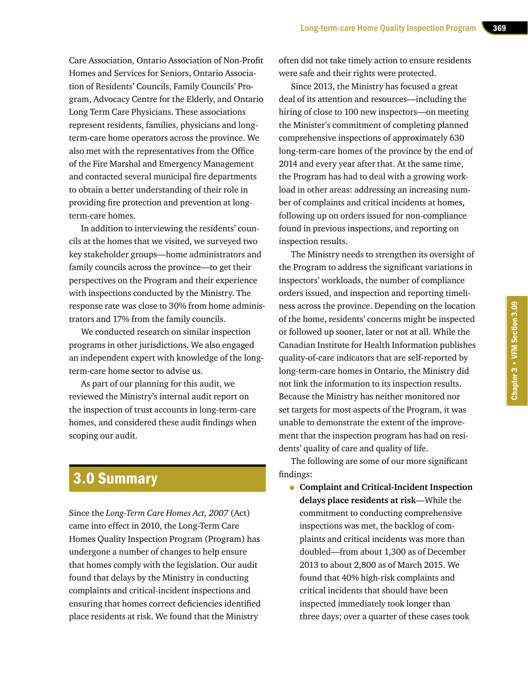Care Association, Ontario Association of Non-Profit Homes and Services for Seniors, Ontario Association of Residents' Councils, Family Councils' Program, Advocacy Centre for the Elderly, and Ontario Long Term Care Physicians. These associations represent residents, families, physicians and longterm-care home operators across the province. We also met with the representatives from the Office of the Fire Marshal and Emergency Management and contacted several municipal fire departments to obtain a better understanding of their role in providing fire protection and prevention at longterm-care homes.

In addition to interviewing the residents' councils at the homes that we visited, we surveyed two key stakeholder groups—home administrators and family councils across the province—to get their perspectives on the Program and their experience with inspections conducted by the Ministry. The response rate was close to 30% from home administrators and 17% from the family councils.

We conducted research on similar inspection programs in other jurisdictions. We also engaged an independent expert with knowledge of the longterm-care home sector to advise us.

As part of our planning for this audit, we reviewed the Ministry's internal audit report on the inspection of trust accounts in long-term-care homes, and considered these audit findings when scoping our audit.

# 3.0 Summary

Since the *Long-Term Care Homes Act, 2007* (Act) came into effect in 2010, the Long-Term Care Homes Quality Inspection Program (Program) has undergone a number of changes to help ensure that homes comply with the legislation. Our audit found that delays by the Ministry in conducting complaints and critical-incident inspections and ensuring that homes correct deficiencies identified place residents at risk. We found that the Ministry

often did not take timely action to ensure residents were safe and their rights were protected.

Since 2013, the Ministry has focused a great deal of its attention and resources—including the hiring of close to 100 new inspectors—on meeting the Minister's commitment of completing planned comprehensive inspections of approximately 630 long-term-care homes of the province by the end of 2014 and every year after that. At the same time, the Program has had to deal with a growing workload in other areas: addressing an increasing number of complaints and critical incidents at homes, following up on orders issued for non-compliance found in previous inspections, and reporting on inspection results.

The Ministry needs to strengthen its oversight of the Program to address the significant variations in inspectors' workloads, the number of compliance orders issued, and inspection and reporting timeliness across the province. Depending on the location of the home, residents' concerns might be inspected or followed up sooner, later or not at all. While the Canadian Institute for Health Information publishes quality-of-care indicators that are self-reported by long-term-care homes in Ontario, the Ministry did not link the information to its inspection results. Because the Ministry has neither monitored nor set targets for most aspects of the Program, it was unable to demonstrate the extent of the improvement that the inspection program has had on residents' quality of care and quality of life.

The following are some of our more significant findings:

• **Complaint and Critical-Incident Inspection delays place residents at risk**—While the commitment to conducting comprehensive inspections was met, the backlog of complaints and critical incidents was more than doubled—from about 1,300 as of December 2013 to about 2,800 as of March 2015. We found that 40% high-risk complaints and critical incidents that should have been inspected immediately took longer than three days; over a quarter of these cases took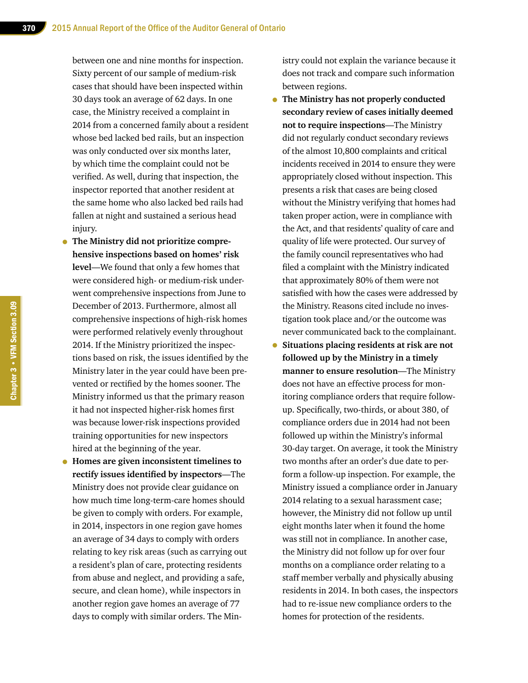between one and nine months for inspection. Sixty percent of our sample of medium-risk cases that should have been inspected within 30 days took an average of 62 days. In one case, the Ministry received a complaint in 2014 from a concerned family about a resident whose bed lacked bed rails, but an inspection was only conducted over six months later, by which time the complaint could not be verified. As well, during that inspection, the inspector reported that another resident at the same home who also lacked bed rails had fallen at night and sustained a serious head injury.

- **The Ministry did not prioritize comprehensive inspections based on homes' risk level**—We found that only a few homes that were considered high- or medium-risk underwent comprehensive inspections from June to December of 2013. Furthermore, almost all comprehensive inspections of high-risk homes were performed relatively evenly throughout 2014. If the Ministry prioritized the inspections based on risk, the issues identified by the Ministry later in the year could have been prevented or rectified by the homes sooner. The Ministry informed us that the primary reason it had not inspected higher-risk homes first was because lower-risk inspections provided training opportunities for new inspectors hired at the beginning of the year.
- **Homes are given inconsistent timelines to rectify issues identified by inspectors**—The Ministry does not provide clear guidance on how much time long-term-care homes should be given to comply with orders. For example, in 2014, inspectors in one region gave homes an average of 34 days to comply with orders relating to key risk areas (such as carrying out a resident's plan of care, protecting residents from abuse and neglect, and providing a safe, secure, and clean home), while inspectors in another region gave homes an average of 77 days to comply with similar orders. The Min-

istry could not explain the variance because it does not track and compare such information between regions.

- **The Ministry has not properly conducted secondary review of cases initially deemed not to require inspections**—The Ministry did not regularly conduct secondary reviews of the almost 10,800 complaints and critical incidents received in 2014 to ensure they were appropriately closed without inspection. This presents a risk that cases are being closed without the Ministry verifying that homes had taken proper action, were in compliance with the Act, and that residents' quality of care and quality of life were protected. Our survey of the family council representatives who had filed a complaint with the Ministry indicated that approximately 80% of them were not satisfied with how the cases were addressed by the Ministry. Reasons cited include no investigation took place and/or the outcome was never communicated back to the complainant.
- **Situations placing residents at risk are not followed up by the Ministry in a timely manner to ensure resolution**—The Ministry does not have an effective process for monitoring compliance orders that require followup. Specifically, two-thirds, or about 380, of compliance orders due in 2014 had not been followed up within the Ministry's informal 30-day target. On average, it took the Ministry two months after an order's due date to perform a follow-up inspection. For example, the Ministry issued a compliance order in January 2014 relating to a sexual harassment case; however, the Ministry did not follow up until eight months later when it found the home was still not in compliance. In another case, the Ministry did not follow up for over four months on a compliance order relating to a staff member verbally and physically abusing residents in 2014. In both cases, the inspectors had to re-issue new compliance orders to the homes for protection of the residents.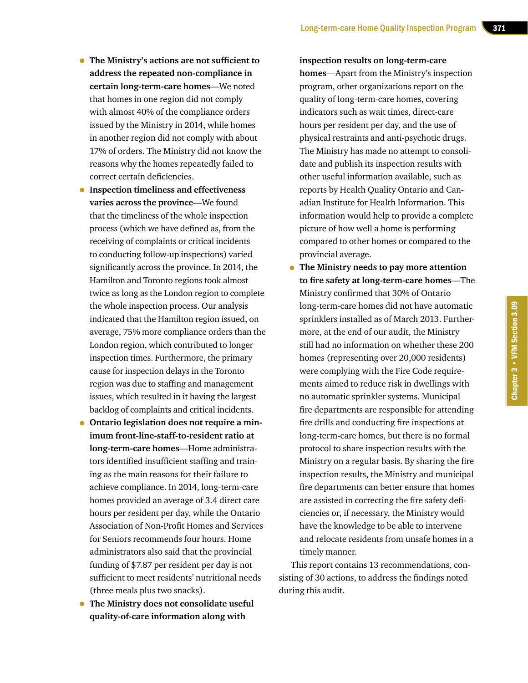- **The Ministry's actions are not sufficient to address the repeated non-compliance in certain long-term-care homes**—We noted that homes in one region did not comply with almost 40% of the compliance orders issued by the Ministry in 2014, while homes in another region did not comply with about 17% of orders. The Ministry did not know the reasons why the homes repeatedly failed to correct certain deficiencies.
- **Inspection timeliness and effectiveness varies across the province**—We found that the timeliness of the whole inspection process (which we have defined as, from the receiving of complaints or critical incidents to conducting follow-up inspections) varied significantly across the province. In 2014, the Hamilton and Toronto regions took almost twice as long as the London region to complete the whole inspection process. Our analysis indicated that the Hamilton region issued, on average, 75% more compliance orders than the London region, which contributed to longer inspection times. Furthermore, the primary cause for inspection delays in the Toronto region was due to staffing and management issues, which resulted in it having the largest backlog of complaints and critical incidents.
- **Ontario legislation does not require a minimum front-line-staff-to-resident ratio at long-term-care homes**—Home administrators identified insufficient staffing and training as the main reasons for their failure to achieve compliance. In 2014, long-term-care homes provided an average of 3.4 direct care hours per resident per day, while the Ontario Association of Non-Profit Homes and Services for Seniors recommends four hours. Home administrators also said that the provincial funding of \$7.87 per resident per day is not sufficient to meet residents' nutritional needs (three meals plus two snacks).
- **The Ministry does not consolidate useful quality-of-care information along with**

**inspection results on long-term-care homes**—Apart from the Ministry's inspection program, other organizations report on the quality of long-term-care homes, covering indicators such as wait times, direct-care hours per resident per day, and the use of physical restraints and anti-psychotic drugs. The Ministry has made no attempt to consolidate and publish its inspection results with other useful information available, such as reports by Health Quality Ontario and Canadian Institute for Health Information. This information would help to provide a complete picture of how well a home is performing compared to other homes or compared to the provincial average.

• **The Ministry needs to pay more attention to fire safety at long-term-care homes**—The Ministry confirmed that 30% of Ontario long-term-care homes did not have automatic sprinklers installed as of March 2013. Furthermore, at the end of our audit, the Ministry still had no information on whether these 200 homes (representing over 20,000 residents) were complying with the Fire Code requirements aimed to reduce risk in dwellings with no automatic sprinkler systems. Municipal fire departments are responsible for attending fire drills and conducting fire inspections at long-term-care homes, but there is no formal protocol to share inspection results with the Ministry on a regular basis. By sharing the fire inspection results, the Ministry and municipal fire departments can better ensure that homes are assisted in correcting the fire safety deficiencies or, if necessary, the Ministry would have the knowledge to be able to intervene and relocate residents from unsafe homes in a timely manner.

This report contains 13 recommendations, consisting of 30 actions, to address the findings noted during this audit.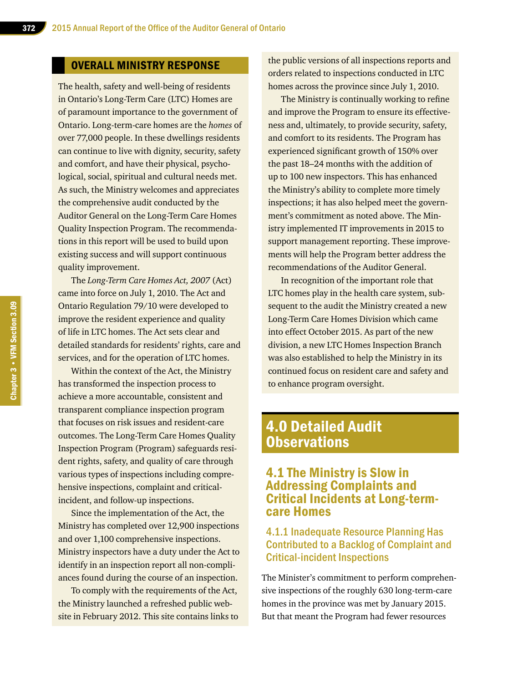#### OVERALL MINISTRY RESPONSE

The health, safety and well-being of residents in Ontario's Long-Term Care (LTC) Homes are of paramount importance to the government of Ontario. Long-term-care homes are the *homes* of over 77,000 people. In these dwellings residents can continue to live with dignity, security, safety and comfort, and have their physical, psychological, social, spiritual and cultural needs met. As such, the Ministry welcomes and appreciates the comprehensive audit conducted by the Auditor General on the Long-Term Care Homes Quality Inspection Program. The recommendations in this report will be used to build upon existing success and will support continuous quality improvement.

The *Long-Term Care Homes Act, 2007* (Act) came into force on July 1, 2010. The Act and Ontario Regulation 79/10 were developed to improve the resident experience and quality of life in LTC homes. The Act sets clear and detailed standards for residents' rights, care and services, and for the operation of LTC homes.

Within the context of the Act, the Ministry has transformed the inspection process to achieve a more accountable, consistent and transparent compliance inspection program that focuses on risk issues and resident-care outcomes. The Long-Term Care Homes Quality Inspection Program (Program) safeguards resident rights, safety, and quality of care through various types of inspections including comprehensive inspections, complaint and criticalincident, and follow-up inspections.

Since the implementation of the Act, the Ministry has completed over 12,900 inspections and over 1,100 comprehensive inspections. Ministry inspectors have a duty under the Act to identify in an inspection report all non-compliances found during the course of an inspection.

To comply with the requirements of the Act, the Ministry launched a refreshed public website in February 2012. This site contains links to

the public versions of all inspections reports and orders related to inspections conducted in LTC homes across the province since July 1, 2010.

The Ministry is continually working to refine and improve the Program to ensure its effectiveness and, ultimately, to provide security, safety, and comfort to its residents. The Program has experienced significant growth of 150% over the past 18–24 months with the addition of up to 100 new inspectors. This has enhanced the Ministry's ability to complete more timely inspections; it has also helped meet the government's commitment as noted above. The Ministry implemented IT improvements in 2015 to support management reporting. These improvements will help the Program better address the recommendations of the Auditor General.

In recognition of the important role that LTC homes play in the health care system, subsequent to the audit the Ministry created a new Long-Term Care Homes Division which came into effect October 2015. As part of the new division, a new LTC Homes Inspection Branch was also established to help the Ministry in its continued focus on resident care and safety and to enhance program oversight.

## 4.0 Detailed Audit **Observations**

### 4.1 The Ministry is Slow in Addressing Complaints and Critical Incidents at Long-termcare Homes

### 4.1.1 Inadequate Resource Planning Has Contributed to a Backlog of Complaint and Critical-incident Inspections

The Minister's commitment to perform comprehensive inspections of the roughly 630 long-term-care homes in the province was met by January 2015. But that meant the Program had fewer resources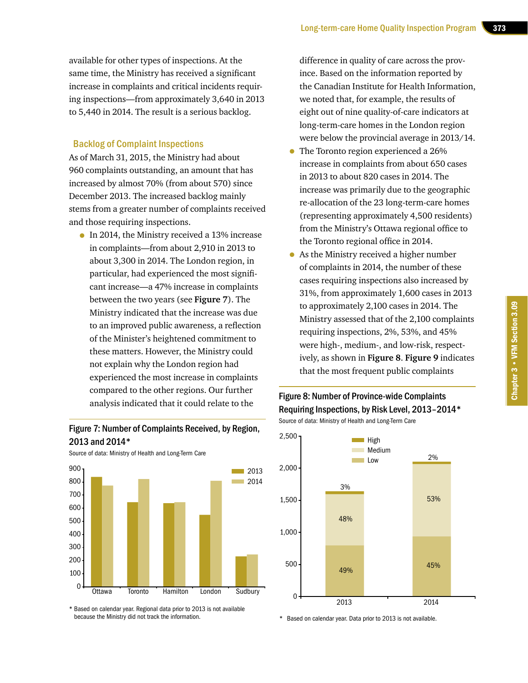available for other types of inspections. At the same time, the Ministry has received a significant increase in complaints and critical incidents requiring inspections—from approximately 3,640 in 2013 to 5,440 in 2014. The result is a serious backlog.

#### Backlog of Complaint Inspections

As of March 31, 2015, the Ministry had about 960 complaints outstanding, an amount that has increased by almost 70% (from about 570) since December 2013. The increased backlog mainly stems from a greater number of complaints received and those requiring inspections.

• In 2014, the Ministry received a 13% increase in complaints—from about 2,910 in 2013 to about 3,300 in 2014. The London region, in particular, had experienced the most significant increase—a 47% increase in complaints between the two years (see **Figure 7**). The Ministry indicated that the increase was due to an improved public awareness, a reflection of the Minister's heightened commitment to these matters. However, the Ministry could not explain why the London region had experienced the most increase in complaints compared to the other regions. Our further analysis indicated that it could relate to the

#### Figure 7: Number of Complaints Received, by Region, 2013 and 2014\*



\* Based on calendar year. Regional data prior to 2013 is not available because the Ministry did not track the information.

difference in quality of care across the province. Based on the information reported by the Canadian Institute for Health Information, we noted that, for example, the results of eight out of nine quality-of-care indicators at long-term-care homes in the London region were below the provincial average in 2013/14.

- The Toronto region experienced a 26% increase in complaints from about 650 cases in 2013 to about 820 cases in 2014. The increase was primarily due to the geographic re-allocation of the 23 long-term-care homes (representing approximately 4,500 residents) from the Ministry's Ottawa regional office to the Toronto regional office in 2014.
- As the Ministry received a higher number of complaints in 2014, the number of these cases requiring inspections also increased by 31%, from approximately 1,600 cases in 2013 to approximately 2,100 cases in 2014. The Ministry assessed that of the 2,100 complaints requiring inspections, 2%, 53%, and 45% were high-, medium-, and low-risk, respectively, as shown in **Figure 8**. **Figure 9** indicates that the most frequent public complaints

#### Figure 8: Number of Province-wide Complaints Requiring Inspections, by Risk Level, 2013–2014\* Source of data: Ministry of Health and Long-Term Care



\* Based on calendar year. Data prior to 2013 is not available.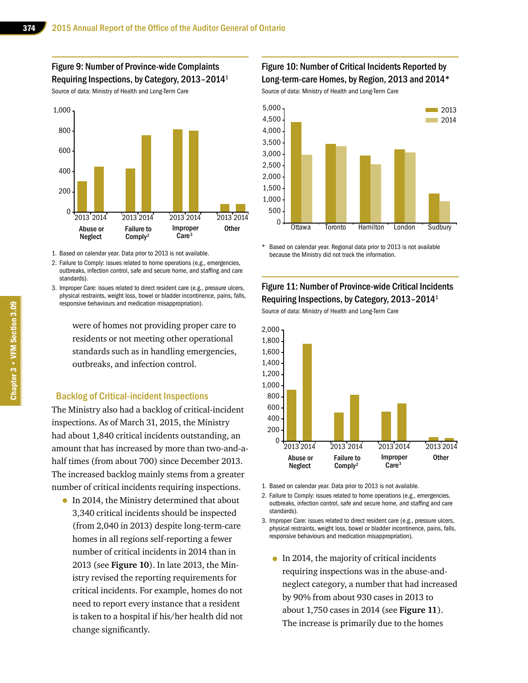Figure 9: Number of Province-wide Complaints Requiring Inspections, by Category, 2013–20141

Source of data: Ministry of Health and Long-Term Care



1. Based on calendar year. Data prior to 2013 is not available.

- 2. Failure to Comply: issues related to home operations (e.g., emergencies, outbreaks, infection control, safe and secure home, and staffing and care standards).
- 3. Improper Care: issues related to direct resident care (e.g., pressure ulcers, physical restraints, weight loss, bowel or bladder incontinence, pains, falls, responsive behaviours and medication misappropriation).

were of homes not providing proper care to residents or not meeting other operational standards such as in handling emergencies, outbreaks, and infection control.

#### Backlog of Critical-incident Inspections

The Ministry also had a backlog of critical-incident inspections. As of March 31, 2015, the Ministry had about 1,840 critical incidents outstanding, an amount that has increased by more than two-and-ahalf times (from about 700) since December 2013. The increased backlog mainly stems from a greater number of critical incidents requiring inspections.

• In 2014, the Ministry determined that about 3,340 critical incidents should be inspected (from 2,040 in 2013) despite long-term-care homes in all regions self-reporting a fewer number of critical incidents in 2014 than in 2013 (see **Figure 10**). In late 2013, the Ministry revised the reporting requirements for critical incidents. For example, homes do not need to report every instance that a resident is taken to a hospital if his/her health did not change significantly.

#### Figure 10: Number of Critical Incidents Reported by Long-term-care Homes, by Region, 2013 and 2014\*

Source of data: Ministry of Health and Long-Term Care



Based on calendar year. Regional data prior to 2013 is not available because the Ministry did not track the information.

### Figure 11: Number of Province-wide Critical Incidents Requiring Inspections, by Category, 2013–20141

Source of data: Ministry of Health and Long-Term Care



1. Based on calendar year. Data prior to 2013 is not available.

2. Failure to Comply: issues related to home operations (e.g., emergencies, outbreaks, infection control, safe and secure home, and staffing and care standards).

- 3. Improper Care: issues related to direct resident care (e.g., pressure ulcers, physical restraints, weight loss, bowel or bladder incontinence, pains, falls, responsive behaviours and medication misappropriation).
	- In 2014, the majority of critical incidents requiring inspections was in the abuse-andneglect category, a number that had increased by 90% from about 930 cases in 2013 to about 1,750 cases in 2014 (see **Figure 11**). The increase is primarily due to the homes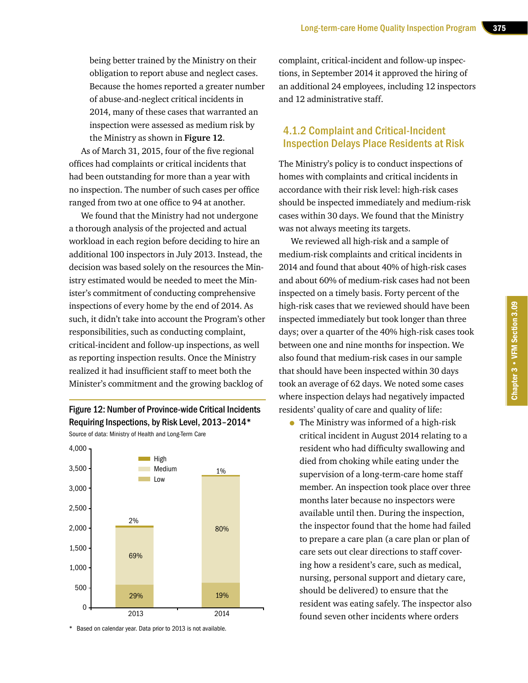being better trained by the Ministry on their obligation to report abuse and neglect cases. Because the homes reported a greater number of abuse-and-neglect critical incidents in 2014, many of these cases that warranted an inspection were assessed as medium risk by the Ministry as shown in **Figure 12**.

As of March 31, 2015, four of the five regional offices had complaints or critical incidents that had been outstanding for more than a year with no inspection. The number of such cases per office ranged from two at one office to 94 at another.

We found that the Ministry had not undergone a thorough analysis of the projected and actual workload in each region before deciding to hire an additional 100 inspectors in July 2013. Instead, the decision was based solely on the resources the Ministry estimated would be needed to meet the Minister's commitment of conducting comprehensive inspections of every home by the end of 2014. As such, it didn't take into account the Program's other responsibilities, such as conducting complaint, critical-incident and follow-up inspections, as well as reporting inspection results. Once the Ministry realized it had insufficient staff to meet both the Minister's commitment and the growing backlog of

Figure 12: Number of Province-wide Critical Incidents Requiring Inspections, by Risk Level, 2013–2014\* Source of data: Ministry of Health and Long-Term Care



\* Based on calendar year. Data prior to 2013 is not available.

complaint, critical-incident and follow-up inspections, in September 2014 it approved the hiring of an additional 24 employees, including 12 inspectors and 12 administrative staff.

### 4.1.2 Complaint and Critical-Incident Inspection Delays Place Residents at Risk

The Ministry's policy is to conduct inspections of homes with complaints and critical incidents in accordance with their risk level: high-risk cases should be inspected immediately and medium-risk cases within 30 days. We found that the Ministry was not always meeting its targets.

We reviewed all high-risk and a sample of medium-risk complaints and critical incidents in 2014 and found that about 40% of high-risk cases and about 60% of medium-risk cases had not been inspected on a timely basis. Forty percent of the high-risk cases that we reviewed should have been inspected immediately but took longer than three days; over a quarter of the 40% high-risk cases took between one and nine months for inspection. We also found that medium-risk cases in our sample that should have been inspected within 30 days took an average of 62 days. We noted some cases where inspection delays had negatively impacted residents' quality of care and quality of life:

• The Ministry was informed of a high-risk critical incident in August 2014 relating to a resident who had difficulty swallowing and died from choking while eating under the supervision of a long-term-care home staff member. An inspection took place over three months later because no inspectors were available until then. During the inspection, the inspector found that the home had failed to prepare a care plan (a care plan or plan of care sets out clear directions to staff covering how a resident's care, such as medical, nursing, personal support and dietary care, should be delivered) to ensure that the resident was eating safely. The inspector also found seven other incidents where orders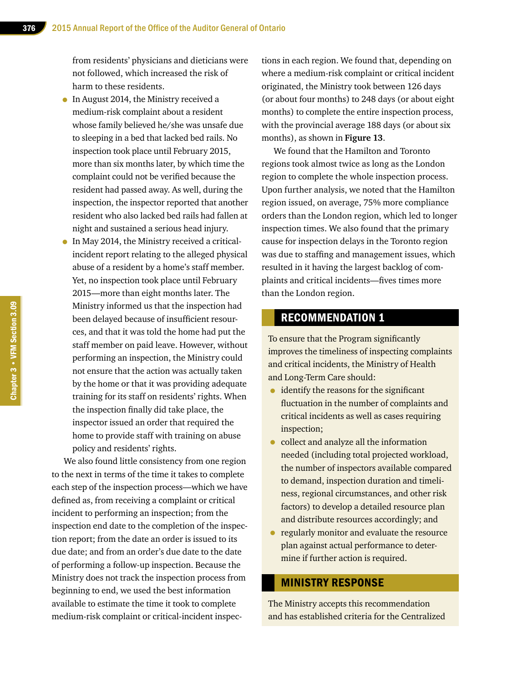from residents' physicians and dieticians were not followed, which increased the risk of harm to these residents.

- In August 2014, the Ministry received a medium-risk complaint about a resident whose family believed he/she was unsafe due to sleeping in a bed that lacked bed rails. No inspection took place until February 2015, more than six months later, by which time the complaint could not be verified because the resident had passed away. As well, during the inspection, the inspector reported that another resident who also lacked bed rails had fallen at night and sustained a serious head injury.
- In May 2014, the Ministry received a criticalincident report relating to the alleged physical abuse of a resident by a home's staff member. Yet, no inspection took place until February 2015—more than eight months later. The Ministry informed us that the inspection had been delayed because of insufficient resources, and that it was told the home had put the staff member on paid leave. However, without performing an inspection, the Ministry could not ensure that the action was actually taken by the home or that it was providing adequate training for its staff on residents' rights. When the inspection finally did take place, the inspector issued an order that required the home to provide staff with training on abuse policy and residents' rights.

We also found little consistency from one region to the next in terms of the time it takes to complete each step of the inspection process—which we have defined as, from receiving a complaint or critical incident to performing an inspection; from the inspection end date to the completion of the inspection report; from the date an order is issued to its due date; and from an order's due date to the date of performing a follow-up inspection. Because the Ministry does not track the inspection process from beginning to end, we used the best information available to estimate the time it took to complete medium-risk complaint or critical-incident inspections in each region. We found that, depending on where a medium-risk complaint or critical incident originated, the Ministry took between 126 days (or about four months) to 248 days (or about eight months) to complete the entire inspection process, with the provincial average 188 days (or about six months), as shown in **Figure 13**.

We found that the Hamilton and Toronto regions took almost twice as long as the London region to complete the whole inspection process. Upon further analysis, we noted that the Hamilton region issued, on average, 75% more compliance orders than the London region, which led to longer inspection times. We also found that the primary cause for inspection delays in the Toronto region was due to staffing and management issues, which resulted in it having the largest backlog of complaints and critical incidents—fives times more than the London region.

#### RECOMMENDATION 1

To ensure that the Program significantly improves the timeliness of inspecting complaints and critical incidents, the Ministry of Health and Long-Term Care should:

- identify the reasons for the significant fluctuation in the number of complaints and critical incidents as well as cases requiring inspection;
- collect and analyze all the information needed (including total projected workload, the number of inspectors available compared to demand, inspection duration and timeliness, regional circumstances, and other risk factors) to develop a detailed resource plan and distribute resources accordingly; and
- regularly monitor and evaluate the resource plan against actual performance to determine if further action is required.

#### MINISTRY RESPONSE

The Ministry accepts this recommendation and has established criteria for the Centralized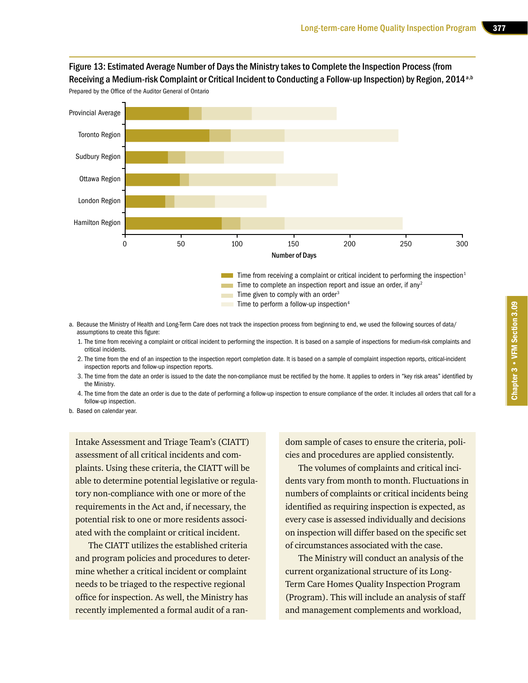### Figure 13: Estimated Average Number of Days the Ministry takes to Complete the Inspection Process (from Receiving a Medium-risk Complaint or Critical Incident to Conducting a Follow-up Inspection) by Region, 2014<sup>a,b</sup>



Prepared by the Office of the Auditor General of Ontario

- a. Because the Ministry of Health and Long-Term Care does not track the inspection process from beginning to end, we used the following sources of data/ assumptions to create this figure:
	- 1. The time from receiving a complaint or critical incident to performing the inspection. It is based on a sample of inspections for medium-risk complaints and critical incidents.
	- 2. The time from the end of an inspection to the inspection report completion date. It is based on a sample of complaint inspection reports, critical-incident inspection reports and follow-up inspection reports.
	- 3. The time from the date an order is issued to the date the non-compliance must be rectified by the home. It applies to orders in "key risk areas" identified by the Ministry.
	- 4. The time from the date an order is due to the date of performing a follow-up inspection to ensure compliance of the order. It includes all orders that call for a follow-up inspection.

b. Based on calendar year.

Intake Assessment and Triage Team's (CIATT) assessment of all critical incidents and complaints. Using these criteria, the CIATT will be able to determine potential legislative or regulatory non-compliance with one or more of the requirements in the Act and, if necessary, the potential risk to one or more residents associated with the complaint or critical incident.

The CIATT utilizes the established criteria and program policies and procedures to determine whether a critical incident or complaint needs to be triaged to the respective regional office for inspection. As well, the Ministry has recently implemented a formal audit of a random sample of cases to ensure the criteria, policies and procedures are applied consistently.

The volumes of complaints and critical incidents vary from month to month. Fluctuations in numbers of complaints or critical incidents being identified as requiring inspection is expected, as every case is assessed individually and decisions on inspection will differ based on the specific set of circumstances associated with the case.

The Ministry will conduct an analysis of the current organizational structure of its Long-Term Care Homes Quality Inspection Program (Program). This will include an analysis of staff and management complements and workload,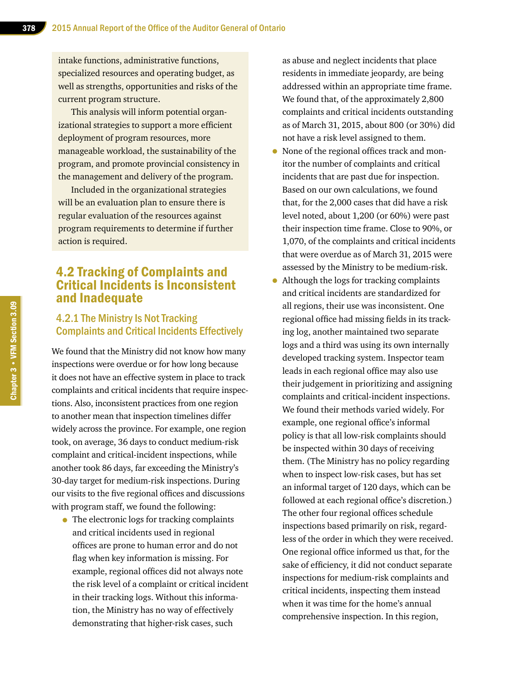intake functions, administrative functions, specialized resources and operating budget, as well as strengths, opportunities and risks of the current program structure.

This analysis will inform potential organizational strategies to support a more efficient deployment of program resources, more manageable workload, the sustainability of the program, and promote provincial consistency in the management and delivery of the program.

Included in the organizational strategies will be an evaluation plan to ensure there is regular evaluation of the resources against program requirements to determine if further action is required.

### 4.2 Tracking of Complaints and Critical Incidents is Inconsistent and Inadequate

### 4.2.1 The Ministry Is Not Tracking Complaints and Critical Incidents Effectively

We found that the Ministry did not know how many inspections were overdue or for how long because it does not have an effective system in place to track complaints and critical incidents that require inspections. Also, inconsistent practices from one region to another mean that inspection timelines differ widely across the province. For example, one region took, on average, 36 days to conduct medium-risk complaint and critical-incident inspections, while another took 86 days, far exceeding the Ministry's 30-day target for medium-risk inspections. During our visits to the five regional offices and discussions with program staff, we found the following:

• The electronic logs for tracking complaints and critical incidents used in regional offices are prone to human error and do not flag when key information is missing. For example, regional offices did not always note the risk level of a complaint or critical incident in their tracking logs. Without this information, the Ministry has no way of effectively demonstrating that higher-risk cases, such

as abuse and neglect incidents that place residents in immediate jeopardy, are being addressed within an appropriate time frame. We found that, of the approximately 2,800 complaints and critical incidents outstanding as of March 31, 2015, about 800 (or 30%) did not have a risk level assigned to them.

- None of the regional offices track and monitor the number of complaints and critical incidents that are past due for inspection. Based on our own calculations, we found that, for the 2,000 cases that did have a risk level noted, about 1,200 (or 60%) were past their inspection time frame. Close to 90%, or 1,070, of the complaints and critical incidents that were overdue as of March 31, 2015 were assessed by the Ministry to be medium-risk.
- Although the logs for tracking complaints and critical incidents are standardized for all regions, their use was inconsistent. One regional office had missing fields in its tracking log, another maintained two separate logs and a third was using its own internally developed tracking system. Inspector team leads in each regional office may also use their judgement in prioritizing and assigning complaints and critical-incident inspections. We found their methods varied widely. For example, one regional office's informal policy is that all low-risk complaints should be inspected within 30 days of receiving them. (The Ministry has no policy regarding when to inspect low-risk cases, but has set an informal target of 120 days, which can be followed at each regional office's discretion.) The other four regional offices schedule inspections based primarily on risk, regardless of the order in which they were received. One regional office informed us that, for the sake of efficiency, it did not conduct separate inspections for medium-risk complaints and critical incidents, inspecting them instead when it was time for the home's annual comprehensive inspection. In this region,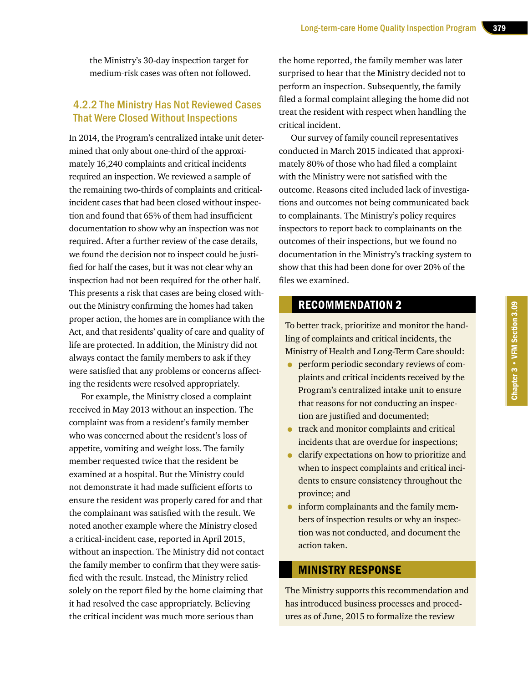the Ministry's 30-day inspection target for medium-risk cases was often not followed.

### 4.2.2 The Ministry Has Not Reviewed Cases That Were Closed Without Inspections

In 2014, the Program's centralized intake unit determined that only about one-third of the approximately 16,240 complaints and critical incidents required an inspection. We reviewed a sample of the remaining two-thirds of complaints and criticalincident cases that had been closed without inspection and found that 65% of them had insufficient documentation to show why an inspection was not required. After a further review of the case details, we found the decision not to inspect could be justified for half the cases, but it was not clear why an inspection had not been required for the other half. This presents a risk that cases are being closed without the Ministry confirming the homes had taken proper action, the homes are in compliance with the Act, and that residents' quality of care and quality of life are protected. In addition, the Ministry did not always contact the family members to ask if they were satisfied that any problems or concerns affecting the residents were resolved appropriately.

For example, the Ministry closed a complaint received in May 2013 without an inspection. The complaint was from a resident's family member who was concerned about the resident's loss of appetite, vomiting and weight loss. The family member requested twice that the resident be examined at a hospital. But the Ministry could not demonstrate it had made sufficient efforts to ensure the resident was properly cared for and that the complainant was satisfied with the result. We noted another example where the Ministry closed a critical-incident case, reported in April 2015, without an inspection. The Ministry did not contact the family member to confirm that they were satisfied with the result. Instead, the Ministry relied solely on the report filed by the home claiming that it had resolved the case appropriately. Believing the critical incident was much more serious than

the home reported, the family member was later surprised to hear that the Ministry decided not to perform an inspection. Subsequently, the family filed a formal complaint alleging the home did not treat the resident with respect when handling the critical incident.

Our survey of family council representatives conducted in March 2015 indicated that approximately 80% of those who had filed a complaint with the Ministry were not satisfied with the outcome. Reasons cited included lack of investigations and outcomes not being communicated back to complainants. The Ministry's policy requires inspectors to report back to complainants on the outcomes of their inspections, but we found no documentation in the Ministry's tracking system to show that this had been done for over 20% of the files we examined.

### RECOMMENDATION 2

To better track, prioritize and monitor the handling of complaints and critical incidents, the Ministry of Health and Long-Term Care should:

- perform periodic secondary reviews of complaints and critical incidents received by the Program's centralized intake unit to ensure that reasons for not conducting an inspection are justified and documented;
- track and monitor complaints and critical incidents that are overdue for inspections;
- clarify expectations on how to prioritize and when to inspect complaints and critical incidents to ensure consistency throughout the province; and
- inform complainants and the family members of inspection results or why an inspection was not conducted, and document the action taken.

### MINISTRY RESPONSE

The Ministry supports this recommendation and has introduced business processes and procedures as of June, 2015 to formalize the review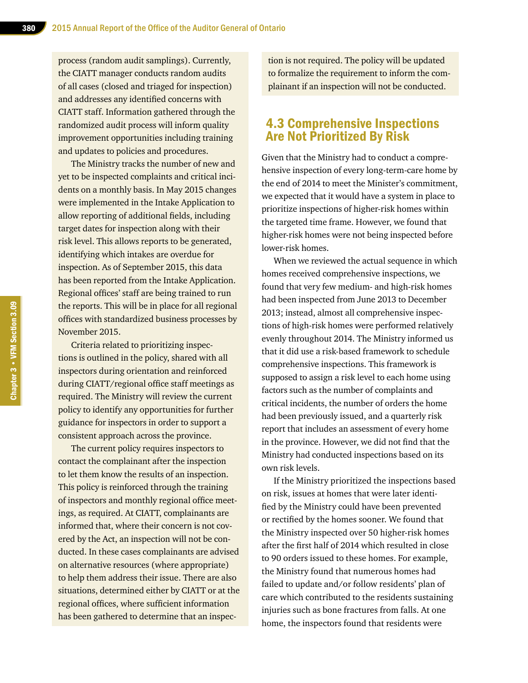process (random audit samplings). Currently, the CIATT manager conducts random audits of all cases (closed and triaged for inspection) and addresses any identified concerns with CIATT staff. Information gathered through the randomized audit process will inform quality improvement opportunities including training and updates to policies and procedures.

The Ministry tracks the number of new and yet to be inspected complaints and critical incidents on a monthly basis. In May 2015 changes were implemented in the Intake Application to allow reporting of additional fields, including target dates for inspection along with their risk level. This allows reports to be generated, identifying which intakes are overdue for inspection. As of September 2015, this data has been reported from the Intake Application. Regional offices' staff are being trained to run the reports. This will be in place for all regional offices with standardized business processes by November 2015.

Criteria related to prioritizing inspections is outlined in the policy, shared with all inspectors during orientation and reinforced during CIATT/regional office staff meetings as required. The Ministry will review the current policy to identify any opportunities for further guidance for inspectors in order to support a consistent approach across the province.

The current policy requires inspectors to contact the complainant after the inspection to let them know the results of an inspection. This policy is reinforced through the training of inspectors and monthly regional office meetings, as required. At CIATT, complainants are informed that, where their concern is not covered by the Act, an inspection will not be conducted. In these cases complainants are advised on alternative resources (where appropriate) to help them address their issue. There are also situations, determined either by CIATT or at the regional offices, where sufficient information has been gathered to determine that an inspection is not required. The policy will be updated to formalize the requirement to inform the complainant if an inspection will not be conducted.

### 4.3 Comprehensive Inspections Are Not Prioritized By Risk

Given that the Ministry had to conduct a comprehensive inspection of every long-term-care home by the end of 2014 to meet the Minister's commitment, we expected that it would have a system in place to prioritize inspections of higher-risk homes within the targeted time frame. However, we found that higher-risk homes were not being inspected before lower-risk homes.

When we reviewed the actual sequence in which homes received comprehensive inspections, we found that very few medium- and high-risk homes had been inspected from June 2013 to December 2013; instead, almost all comprehensive inspections of high-risk homes were performed relatively evenly throughout 2014. The Ministry informed us that it did use a risk-based framework to schedule comprehensive inspections. This framework is supposed to assign a risk level to each home using factors such as the number of complaints and critical incidents, the number of orders the home had been previously issued, and a quarterly risk report that includes an assessment of every home in the province. However, we did not find that the Ministry had conducted inspections based on its own risk levels.

If the Ministry prioritized the inspections based on risk, issues at homes that were later identified by the Ministry could have been prevented or rectified by the homes sooner. We found that the Ministry inspected over 50 higher-risk homes after the first half of 2014 which resulted in close to 90 orders issued to these homes. For example, the Ministry found that numerous homes had failed to update and/or follow residents' plan of care which contributed to the residents sustaining injuries such as bone fractures from falls. At one home, the inspectors found that residents were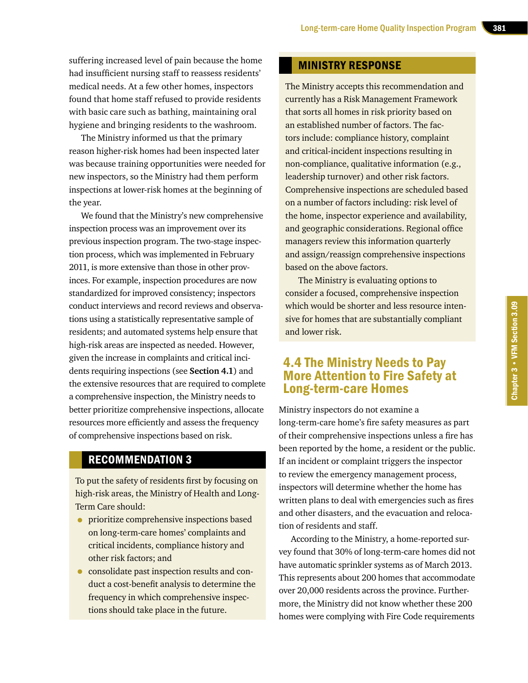suffering increased level of pain because the home had insufficient nursing staff to reassess residents' medical needs. At a few other homes, inspectors found that home staff refused to provide residents with basic care such as bathing, maintaining oral hygiene and bringing residents to the washroom.

The Ministry informed us that the primary reason higher-risk homes had been inspected later was because training opportunities were needed for new inspectors, so the Ministry had them perform inspections at lower-risk homes at the beginning of the year.

We found that the Ministry's new comprehensive inspection process was an improvement over its previous inspection program. The two-stage inspection process, which was implemented in February 2011, is more extensive than those in other provinces. For example, inspection procedures are now standardized for improved consistency; inspectors conduct interviews and record reviews and observations using a statistically representative sample of residents; and automated systems help ensure that high-risk areas are inspected as needed. However, given the increase in complaints and critical incidents requiring inspections (see **Section 4.1**) and the extensive resources that are required to complete a comprehensive inspection, the Ministry needs to better prioritize comprehensive inspections, allocate resources more efficiently and assess the frequency of comprehensive inspections based on risk.

### RECOMMENDATION 3

To put the safety of residents first by focusing on high-risk areas, the Ministry of Health and Long-Term Care should:

- **•** prioritize comprehensive inspections based on long-term-care homes' complaints and critical incidents, compliance history and other risk factors; and
- consolidate past inspection results and conduct a cost-benefit analysis to determine the frequency in which comprehensive inspections should take place in the future.

### MINISTRY RESPONSE

The Ministry accepts this recommendation and currently has a Risk Management Framework that sorts all homes in risk priority based on an established number of factors. The factors include: compliance history, complaint and critical-incident inspections resulting in non-compliance, qualitative information (e.g., leadership turnover) and other risk factors. Comprehensive inspections are scheduled based on a number of factors including: risk level of the home, inspector experience and availability, and geographic considerations. Regional office managers review this information quarterly and assign/reassign comprehensive inspections based on the above factors.

The Ministry is evaluating options to consider a focused, comprehensive inspection which would be shorter and less resource intensive for homes that are substantially compliant and lower risk.

### 4.4 The Ministry Needs to Pay More Attention to Fire Safety at Long-term-care Homes

Ministry inspectors do not examine a long-term-care home's fire safety measures as part of their comprehensive inspections unless a fire has been reported by the home, a resident or the public. If an incident or complaint triggers the inspector to review the emergency management process, inspectors will determine whether the home has written plans to deal with emergencies such as fires and other disasters, and the evacuation and relocation of residents and staff.

According to the Ministry, a home-reported survey found that 30% of long-term-care homes did not have automatic sprinkler systems as of March 2013. This represents about 200 homes that accommodate over 20,000 residents across the province. Furthermore, the Ministry did not know whether these 200 homes were complying with Fire Code requirements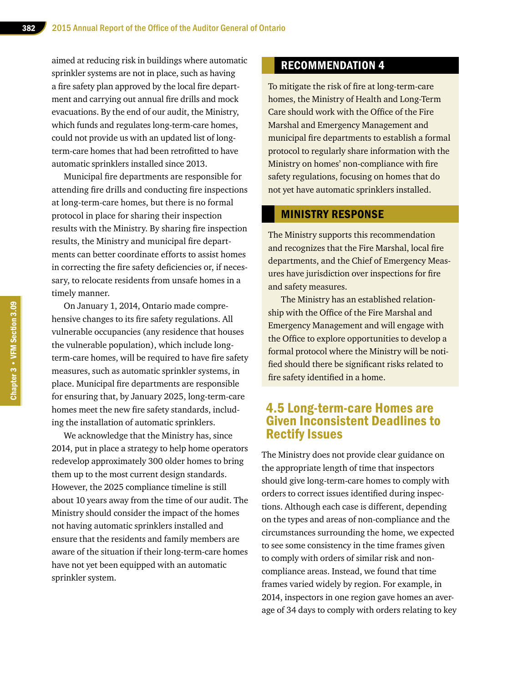aimed at reducing risk in buildings where automatic sprinkler systems are not in place, such as having a fire safety plan approved by the local fire department and carrying out annual fire drills and mock evacuations. By the end of our audit, the Ministry, which funds and regulates long-term-care homes, could not provide us with an updated list of longterm-care homes that had been retrofitted to have automatic sprinklers installed since 2013.

Municipal fire departments are responsible for attending fire drills and conducting fire inspections at long-term-care homes, but there is no formal protocol in place for sharing their inspection results with the Ministry. By sharing fire inspection results, the Ministry and municipal fire departments can better coordinate efforts to assist homes in correcting the fire safety deficiencies or, if necessary, to relocate residents from unsafe homes in a timely manner.

On January 1, 2014, Ontario made comprehensive changes to its fire safety regulations. All vulnerable occupancies (any residence that houses the vulnerable population), which include longterm-care homes, will be required to have fire safety measures, such as automatic sprinkler systems, in place. Municipal fire departments are responsible for ensuring that, by January 2025, long-term-care homes meet the new fire safety standards, including the installation of automatic sprinklers.

We acknowledge that the Ministry has, since 2014, put in place a strategy to help home operators redevelop approximately 300 older homes to bring them up to the most current design standards. However, the 2025 compliance timeline is still about 10 years away from the time of our audit. The Ministry should consider the impact of the homes not having automatic sprinklers installed and ensure that the residents and family members are aware of the situation if their long-term-care homes have not yet been equipped with an automatic sprinkler system.

### RECOMMENDATION 4

To mitigate the risk of fire at long-term-care homes, the Ministry of Health and Long-Term Care should work with the Office of the Fire Marshal and Emergency Management and municipal fire departments to establish a formal protocol to regularly share information with the Ministry on homes' non-compliance with fire safety regulations, focusing on homes that do not yet have automatic sprinklers installed.

#### MINISTRY RESPONSE

The Ministry supports this recommendation and recognizes that the Fire Marshal, local fire departments, and the Chief of Emergency Measures have jurisdiction over inspections for fire and safety measures.

The Ministry has an established relationship with the Office of the Fire Marshal and Emergency Management and will engage with the Office to explore opportunities to develop a formal protocol where the Ministry will be notified should there be significant risks related to fire safety identified in a home.

### 4.5 Long-term-care Homes are Given Inconsistent Deadlines to Rectify Issues

The Ministry does not provide clear guidance on the appropriate length of time that inspectors should give long-term-care homes to comply with orders to correct issues identified during inspections. Although each case is different, depending on the types and areas of non-compliance and the circumstances surrounding the home, we expected to see some consistency in the time frames given to comply with orders of similar risk and noncompliance areas. Instead, we found that time frames varied widely by region. For example, in 2014, inspectors in one region gave homes an average of 34 days to comply with orders relating to key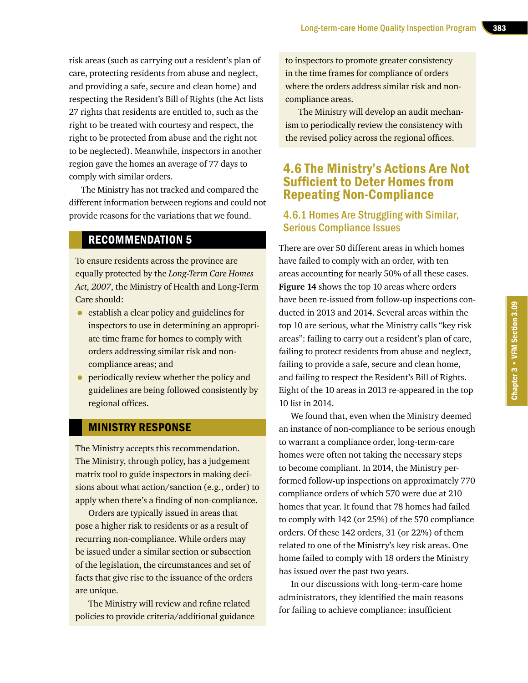risk areas (such as carrying out a resident's plan of care, protecting residents from abuse and neglect, and providing a safe, secure and clean home) and respecting the Resident's Bill of Rights (the Act lists 27 rights that residents are entitled to, such as the right to be treated with courtesy and respect, the right to be protected from abuse and the right not to be neglected). Meanwhile, inspectors in another region gave the homes an average of 77 days to comply with similar orders.

The Ministry has not tracked and compared the different information between regions and could not provide reasons for the variations that we found.

### RECOMMENDATION 5

To ensure residents across the province are equally protected by the *Long-Term Care Homes Act, 2007*, the Ministry of Health and Long-Term Care should:

- establish a clear policy and guidelines for inspectors to use in determining an appropriate time frame for homes to comply with orders addressing similar risk and noncompliance areas; and
- periodically review whether the policy and guidelines are being followed consistently by regional offices.

### MINISTRY RESPONSE

The Ministry accepts this recommendation. The Ministry, through policy, has a judgement matrix tool to guide inspectors in making decisions about what action/sanction (e.g., order) to apply when there's a finding of non-compliance.

Orders are typically issued in areas that pose a higher risk to residents or as a result of recurring non-compliance. While orders may be issued under a similar section or subsection of the legislation, the circumstances and set of facts that give rise to the issuance of the orders are unique.

The Ministry will review and refine related policies to provide criteria/additional guidance to inspectors to promote greater consistency in the time frames for compliance of orders where the orders address similar risk and noncompliance areas.

The Ministry will develop an audit mechanism to periodically review the consistency with the revised policy across the regional offices.

### 4.6 The Ministry's Actions Are Not Sufficient to Deter Homes from Repeating Non-Compliance

### 4.6.1 Homes Are Struggling with Similar, Serious Compliance Issues

There are over 50 different areas in which homes have failed to comply with an order, with ten areas accounting for nearly 50% of all these cases. **Figure 14** shows the top 10 areas where orders have been re-issued from follow-up inspections conducted in 2013 and 2014. Several areas within the top 10 are serious, what the Ministry calls "key risk areas": failing to carry out a resident's plan of care, failing to protect residents from abuse and neglect, failing to provide a safe, secure and clean home, and failing to respect the Resident's Bill of Rights. Eight of the 10 areas in 2013 re-appeared in the top 10 list in 2014.

We found that, even when the Ministry deemed an instance of non-compliance to be serious enough to warrant a compliance order, long-term-care homes were often not taking the necessary steps to become compliant. In 2014, the Ministry performed follow-up inspections on approximately 770 compliance orders of which 570 were due at 210 homes that year. It found that 78 homes had failed to comply with 142 (or 25%) of the 570 compliance orders. Of these 142 orders, 31 (or 22%) of them related to one of the Ministry's key risk areas. One home failed to comply with 18 orders the Ministry has issued over the past two years.

In our discussions with long-term-care home administrators, they identified the main reasons for failing to achieve compliance: insufficient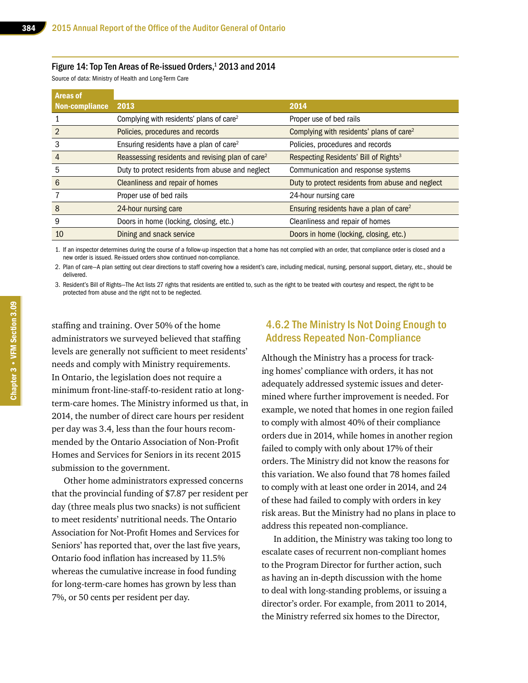#### Figure 14: Top Ten Areas of Re-issued Orders, $^{\rm 1}$  2013 and 2014

Source of data: Ministry of Health and Long-Term Care

| <b>Areas of</b>       |                                                              |                                                      |
|-----------------------|--------------------------------------------------------------|------------------------------------------------------|
| <b>Non-compliance</b> | 2013                                                         | 2014                                                 |
|                       | Complying with residents' plans of care <sup>2</sup>         | Proper use of bed rails                              |
|                       | Policies, procedures and records                             | Complying with residents' plans of care <sup>2</sup> |
|                       | Ensuring residents have a plan of care <sup>2</sup>          | Policies, procedures and records                     |
| 4                     | Reassessing residents and revising plan of care <sup>2</sup> | Respecting Residents' Bill of Rights <sup>3</sup>    |
| 5                     | Duty to protect residents from abuse and neglect             | Communication and response systems                   |
| 6                     | Cleanliness and repair of homes                              | Duty to protect residents from abuse and neglect     |
|                       | Proper use of bed rails                                      | 24-hour nursing care                                 |
| 8                     | 24-hour nursing care                                         | Ensuring residents have a plan of care <sup>2</sup>  |
| 9                     | Doors in home (locking, closing, etc.)                       | Cleanliness and repair of homes                      |
| 10                    | Dining and snack service                                     | Doors in home (locking, closing, etc.)               |

1. If an inspector determines during the course of a follow-up inspection that a home has not complied with an order, that compliance order is closed and a new order is issued. Re-issued orders show continued non-compliance.

2. Plan of care—A plan setting out clear directions to staff covering how a resident's care, including medical, nursing, personal support, dietary, etc., should be delivered.

3. Resident's Bill of Rights—The Act lists 27 rights that residents are entitled to, such as the right to be treated with courtesy and respect, the right to be protected from abuse and the right not to be neglected.

staffing and training. Over 50% of the home administrators we surveyed believed that staffing levels are generally not sufficient to meet residents' needs and comply with Ministry requirements. In Ontario, the legislation does not require a minimum front-line-staff-to-resident ratio at longterm-care homes. The Ministry informed us that, in 2014, the number of direct care hours per resident per day was 3.4, less than the four hours recommended by the Ontario Association of Non-Profit Homes and Services for Seniors in its recent 2015 submission to the government.

Other home administrators expressed concerns that the provincial funding of \$7.87 per resident per day (three meals plus two snacks) is not sufficient to meet residents' nutritional needs. The Ontario Association for Not-Profit Homes and Services for Seniors' has reported that, over the last five years, Ontario food inflation has increased by 11.5% whereas the cumulative increase in food funding for long-term-care homes has grown by less than 7%, or 50 cents per resident per day.

### 4.6.2 The Ministry Is Not Doing Enough to Address Repeated Non-Compliance

Although the Ministry has a process for tracking homes' compliance with orders, it has not adequately addressed systemic issues and determined where further improvement is needed. For example, we noted that homes in one region failed to comply with almost 40% of their compliance orders due in 2014, while homes in another region failed to comply with only about 17% of their orders. The Ministry did not know the reasons for this variation. We also found that 78 homes failed to comply with at least one order in 2014, and 24 of these had failed to comply with orders in key risk areas. But the Ministry had no plans in place to address this repeated non-compliance.

In addition, the Ministry was taking too long to escalate cases of recurrent non-compliant homes to the Program Director for further action, such as having an in-depth discussion with the home to deal with long-standing problems, or issuing a director's order. For example, from 2011 to 2014, the Ministry referred six homes to the Director,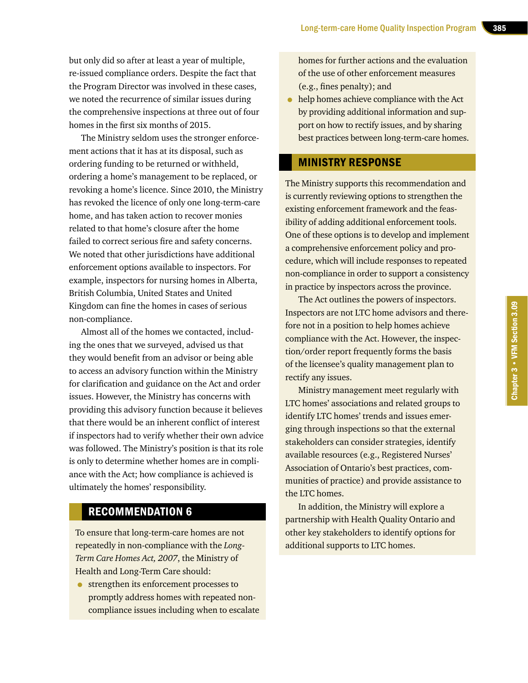but only did so after at least a year of multiple, re-issued compliance orders. Despite the fact that the Program Director was involved in these cases, we noted the recurrence of similar issues during the comprehensive inspections at three out of four homes in the first six months of 2015.

The Ministry seldom uses the stronger enforcement actions that it has at its disposal, such as ordering funding to be returned or withheld, ordering a home's management to be replaced, or revoking a home's licence. Since 2010, the Ministry has revoked the licence of only one long-term-care home, and has taken action to recover monies related to that home's closure after the home failed to correct serious fire and safety concerns. We noted that other jurisdictions have additional enforcement options available to inspectors. For example, inspectors for nursing homes in Alberta, British Columbia, United States and United Kingdom can fine the homes in cases of serious non-compliance.

Almost all of the homes we contacted, including the ones that we surveyed, advised us that they would benefit from an advisor or being able to access an advisory function within the Ministry for clarification and guidance on the Act and order issues. However, the Ministry has concerns with providing this advisory function because it believes that there would be an inherent conflict of interest if inspectors had to verify whether their own advice was followed. The Ministry's position is that its role is only to determine whether homes are in compliance with the Act; how compliance is achieved is ultimately the homes' responsibility.

### RECOMMENDATION 6

To ensure that long-term-care homes are not repeatedly in non-compliance with the *Long-Term Care Homes Act, 2007*, the Ministry of Health and Long-Term Care should:

• strengthen its enforcement processes to promptly address homes with repeated noncompliance issues including when to escalate homes for further actions and the evaluation of the use of other enforcement measures (e.g., fines penalty); and

• help homes achieve compliance with the Act by providing additional information and support on how to rectify issues, and by sharing best practices between long-term-care homes.

### MINISTRY RESPONSE

The Ministry supports this recommendation and is currently reviewing options to strengthen the existing enforcement framework and the feasibility of adding additional enforcement tools. One of these options is to develop and implement a comprehensive enforcement policy and procedure, which will include responses to repeated non-compliance in order to support a consistency in practice by inspectors across the province.

The Act outlines the powers of inspectors. Inspectors are not LTC home advisors and therefore not in a position to help homes achieve compliance with the Act. However, the inspection/order report frequently forms the basis of the licensee's quality management plan to rectify any issues.

Ministry management meet regularly with LTC homes' associations and related groups to identify LTC homes' trends and issues emerging through inspections so that the external stakeholders can consider strategies, identify available resources (e.g., Registered Nurses' Association of Ontario's best practices, communities of practice) and provide assistance to the LTC homes.

In addition, the Ministry will explore a partnership with Health Quality Ontario and other key stakeholders to identify options for additional supports to LTC homes.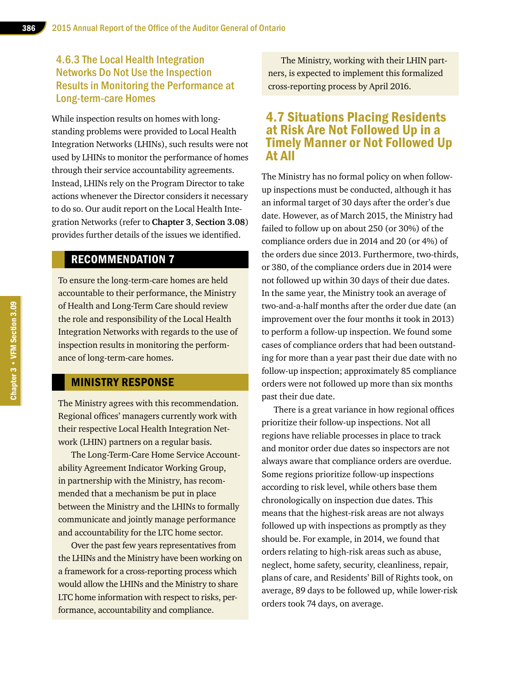### 4.6.3 The Local Health Integration Networks Do Not Use the Inspection Results in Monitoring the Performance at Long-term-care Homes

While inspection results on homes with longstanding problems were provided to Local Health Integration Networks (LHINs), such results were not used by LHINs to monitor the performance of homes through their service accountability agreements. Instead, LHINs rely on the Program Director to take actions whenever the Director considers it necessary to do so. Our audit report on the Local Health Integration Networks (refer to **Chapter 3**, **Section 3.08**) provides further details of the issues we identified.

#### RECOMMENDATION 7

To ensure the long-term-care homes are held accountable to their performance, the Ministry of Health and Long-Term Care should review the role and responsibility of the Local Health Integration Networks with regards to the use of inspection results in monitoring the performance of long-term-care homes.

#### MINISTRY RESPONSE

The Ministry agrees with this recommendation. Regional offices' managers currently work with their respective Local Health Integration Network (LHIN) partners on a regular basis.

The Long-Term-Care Home Service Accountability Agreement Indicator Working Group, in partnership with the Ministry, has recommended that a mechanism be put in place between the Ministry and the LHINs to formally communicate and jointly manage performance and accountability for the LTC home sector.

Over the past few years representatives from the LHINs and the Ministry have been working on a framework for a cross-reporting process which would allow the LHINs and the Ministry to share LTC home information with respect to risks, performance, accountability and compliance.

The Ministry, working with their LHIN partners, is expected to implement this formalized cross-reporting process by April 2016.

### 4.7 Situations Placing Residents at Risk Are Not Followed Up in a Timely Manner or Not Followed Up At All

The Ministry has no formal policy on when followup inspections must be conducted, although it has an informal target of 30 days after the order's due date. However, as of March 2015, the Ministry had failed to follow up on about 250 (or 30%) of the compliance orders due in 2014 and 20 (or 4%) of the orders due since 2013. Furthermore, two-thirds, or 380, of the compliance orders due in 2014 were not followed up within 30 days of their due dates. In the same year, the Ministry took an average of two-and-a-half months after the order due date (an improvement over the four months it took in 2013) to perform a follow-up inspection. We found some cases of compliance orders that had been outstanding for more than a year past their due date with no follow-up inspection; approximately 85 compliance orders were not followed up more than six months past their due date.

There is a great variance in how regional offices prioritize their follow-up inspections. Not all regions have reliable processes in place to track and monitor order due dates so inspectors are not always aware that compliance orders are overdue. Some regions prioritize follow-up inspections according to risk level, while others base them chronologically on inspection due dates. This means that the highest-risk areas are not always followed up with inspections as promptly as they should be. For example, in 2014, we found that orders relating to high-risk areas such as abuse, neglect, home safety, security, cleanliness, repair, plans of care, and Residents' Bill of Rights took, on average, 89 days to be followed up, while lower-risk orders took 74 days, on average.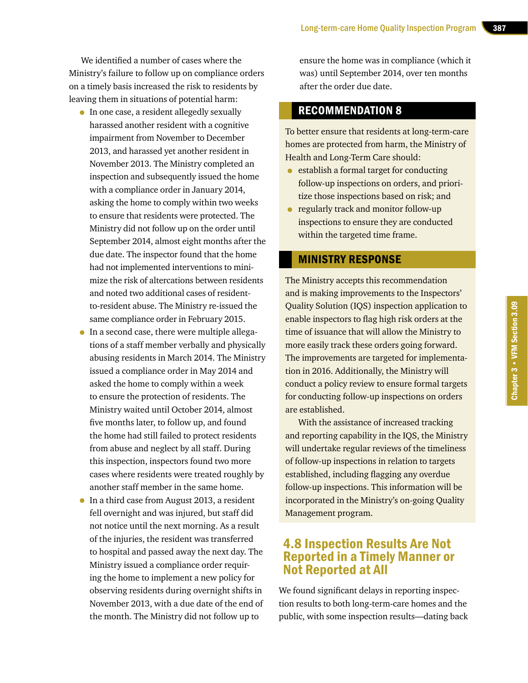We identified a number of cases where the Ministry's failure to follow up on compliance orders on a timely basis increased the risk to residents by leaving them in situations of potential harm:

- In one case, a resident allegedly sexually harassed another resident with a cognitive impairment from November to December 2013, and harassed yet another resident in November 2013. The Ministry completed an inspection and subsequently issued the home with a compliance order in January 2014, asking the home to comply within two weeks to ensure that residents were protected. The Ministry did not follow up on the order until September 2014, almost eight months after the due date. The inspector found that the home had not implemented interventions to minimize the risk of altercations between residents and noted two additional cases of residentto-resident abuse. The Ministry re-issued the same compliance order in February 2015.
- In a second case, there were multiple allegations of a staff member verbally and physically abusing residents in March 2014. The Ministry issued a compliance order in May 2014 and asked the home to comply within a week to ensure the protection of residents. The Ministry waited until October 2014, almost five months later, to follow up, and found the home had still failed to protect residents from abuse and neglect by all staff. During this inspection, inspectors found two more cases where residents were treated roughly by another staff member in the same home.
- In a third case from August 2013, a resident fell overnight and was injured, but staff did not notice until the next morning. As a result of the injuries, the resident was transferred to hospital and passed away the next day. The Ministry issued a compliance order requiring the home to implement a new policy for observing residents during overnight shifts in November 2013, with a due date of the end of the month. The Ministry did not follow up to

ensure the home was in compliance (which it was) until September 2014, over ten months after the order due date.

### RECOMMENDATION 8

To better ensure that residents at long-term-care homes are protected from harm, the Ministry of Health and Long-Term Care should:

- establish a formal target for conducting follow-up inspections on orders, and prioritize those inspections based on risk; and
- regularly track and monitor follow-up inspections to ensure they are conducted within the targeted time frame.

#### MINISTRY RESPONSE

The Ministry accepts this recommendation and is making improvements to the Inspectors' Quality Solution (IQS) inspection application to enable inspectors to flag high risk orders at the time of issuance that will allow the Ministry to more easily track these orders going forward. The improvements are targeted for implementation in 2016. Additionally, the Ministry will conduct a policy review to ensure formal targets for conducting follow-up inspections on orders are established.

With the assistance of increased tracking and reporting capability in the IQS, the Ministry will undertake regular reviews of the timeliness of follow-up inspections in relation to targets established, including flagging any overdue follow-up inspections. This information will be incorporated in the Ministry's on-going Quality Management program.

### 4.8 Inspection Results Are Not Reported in a Timely Manner or Not Reported at All

We found significant delays in reporting inspection results to both long-term-care homes and the public, with some inspection results—dating back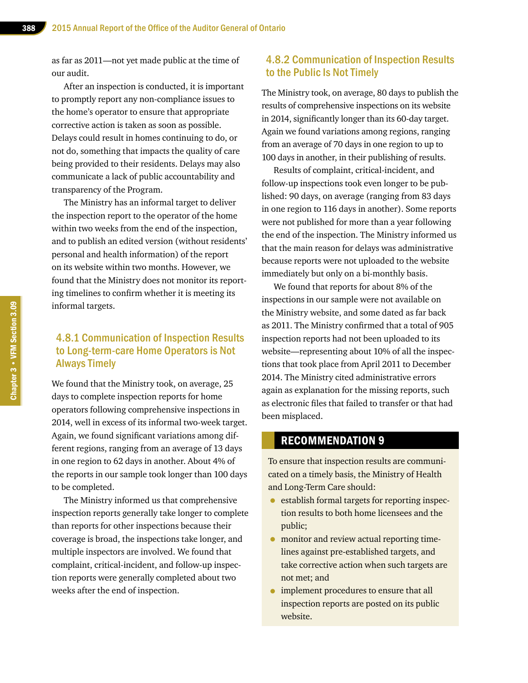as far as 2011—not yet made public at the time of our audit.

After an inspection is conducted, it is important to promptly report any non-compliance issues to the home's operator to ensure that appropriate corrective action is taken as soon as possible. Delays could result in homes continuing to do, or not do, something that impacts the quality of care being provided to their residents. Delays may also communicate a lack of public accountability and transparency of the Program.

The Ministry has an informal target to deliver the inspection report to the operator of the home within two weeks from the end of the inspection, and to publish an edited version (without residents' personal and health information) of the report on its website within two months. However, we found that the Ministry does not monitor its reporting timelines to confirm whether it is meeting its informal targets.

### 4.8.1 Communication of Inspection Results to Long-term-care Home Operators is Not Always Timely

We found that the Ministry took, on average, 25 days to complete inspection reports for home operators following comprehensive inspections in 2014, well in excess of its informal two-week target. Again, we found significant variations among different regions, ranging from an average of 13 days in one region to 62 days in another. About 4% of the reports in our sample took longer than 100 days to be completed.

The Ministry informed us that comprehensive inspection reports generally take longer to complete than reports for other inspections because their coverage is broad, the inspections take longer, and multiple inspectors are involved. We found that complaint, critical-incident, and follow-up inspection reports were generally completed about two weeks after the end of inspection.

### 4.8.2 Communication of Inspection Results to the Public Is Not Timely

The Ministry took, on average, 80 days to publish the results of comprehensive inspections on its website in 2014, significantly longer than its 60-day target. Again we found variations among regions, ranging from an average of 70 days in one region to up to 100 days in another, in their publishing of results.

Results of complaint, critical-incident, and follow-up inspections took even longer to be published: 90 days, on average (ranging from 83 days in one region to 116 days in another). Some reports were not published for more than a year following the end of the inspection. The Ministry informed us that the main reason for delays was administrative because reports were not uploaded to the website immediately but only on a bi-monthly basis.

We found that reports for about 8% of the inspections in our sample were not available on the Ministry website, and some dated as far back as 2011. The Ministry confirmed that a total of 905 inspection reports had not been uploaded to its website—representing about 10% of all the inspections that took place from April 2011 to December 2014. The Ministry cited administrative errors again as explanation for the missing reports, such as electronic files that failed to transfer or that had been misplaced.

#### RECOMMENDATION 9

To ensure that inspection results are communicated on a timely basis, the Ministry of Health and Long-Term Care should:

- establish formal targets for reporting inspection results to both home licensees and the public;
- monitor and review actual reporting timelines against pre-established targets, and take corrective action when such targets are not met; and
- implement procedures to ensure that all inspection reports are posted on its public website.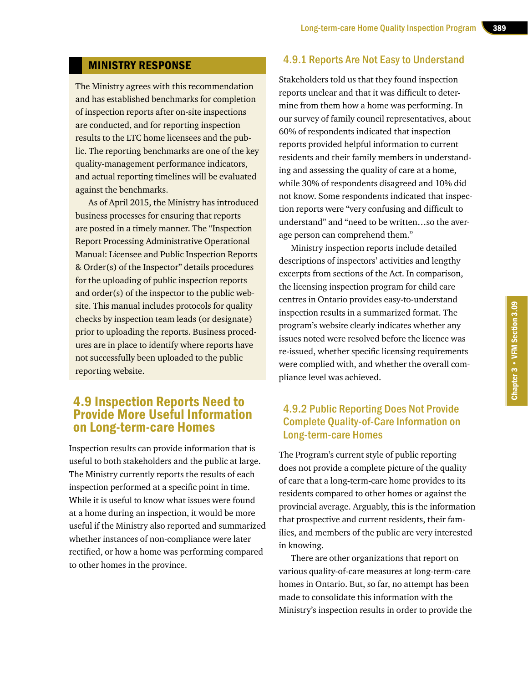#### MINISTRY RESPONSE

The Ministry agrees with this recommendation and has established benchmarks for completion of inspection reports after on-site inspections are conducted, and for reporting inspection results to the LTC home licensees and the public. The reporting benchmarks are one of the key quality-management performance indicators, and actual reporting timelines will be evaluated against the benchmarks.

As of April 2015, the Ministry has introduced business processes for ensuring that reports are posted in a timely manner. The "Inspection Report Processing Administrative Operational Manual: Licensee and Public Inspection Reports & Order(s) of the Inspector" details procedures for the uploading of public inspection reports and order(s) of the inspector to the public website. This manual includes protocols for quality checks by inspection team leads (or designate) prior to uploading the reports. Business procedures are in place to identify where reports have not successfully been uploaded to the public reporting website.

### 4.9 Inspection Reports Need to Provide More Useful Information on Long-term-care Homes

Inspection results can provide information that is useful to both stakeholders and the public at large. The Ministry currently reports the results of each inspection performed at a specific point in time. While it is useful to know what issues were found at a home during an inspection, it would be more useful if the Ministry also reported and summarized whether instances of non-compliance were later rectified, or how a home was performing compared to other homes in the province.

#### 4.9.1 Reports Are Not Easy to Understand

Stakeholders told us that they found inspection reports unclear and that it was difficult to determine from them how a home was performing. In our survey of family council representatives, about 60% of respondents indicated that inspection reports provided helpful information to current residents and their family members in understanding and assessing the quality of care at a home, while 30% of respondents disagreed and 10% did not know. Some respondents indicated that inspection reports were "very confusing and difficult to understand" and "need to be written…so the average person can comprehend them."

Ministry inspection reports include detailed descriptions of inspectors' activities and lengthy excerpts from sections of the Act. In comparison, the licensing inspection program for child care centres in Ontario provides easy-to-understand inspection results in a summarized format. The program's website clearly indicates whether any issues noted were resolved before the licence was re-issued, whether specific licensing requirements were complied with, and whether the overall compliance level was achieved.

### 4.9.2 Public Reporting Does Not Provide Complete Quality-of-Care Information on Long-term-care Homes

The Program's current style of public reporting does not provide a complete picture of the quality of care that a long-term-care home provides to its residents compared to other homes or against the provincial average. Arguably, this is the information that prospective and current residents, their families, and members of the public are very interested in knowing.

There are other organizations that report on various quality-of-care measures at long-term-care homes in Ontario. But, so far, no attempt has been made to consolidate this information with the Ministry's inspection results in order to provide the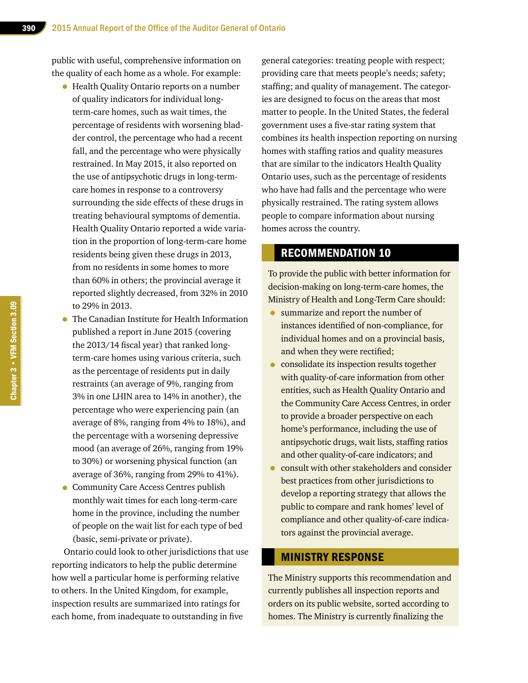public with useful, comprehensive information on the quality of each home as a whole. For example:

- Health Quality Ontario reports on a number of quality indicators for individual longterm-care homes, such as wait times, the percentage of residents with worsening bladder control, the percentage who had a recent fall, and the percentage who were physically restrained. In May 2015, it also reported on the use of antipsychotic drugs in long-termcare homes in response to a controversy surrounding the side effects of these drugs in treating behavioural symptoms of dementia. Health Quality Ontario reported a wide variation in the proportion of long-term-care home residents being given these drugs in 2013, from no residents in some homes to more than 60% in others; the provincial average it reported slightly decreased, from 32% in 2010 to 29% in 2013.
- The Canadian Institute for Health Information published a report in June 2015 (covering the 2013/14 fiscal year) that ranked longterm-care homes using various criteria, such as the percentage of residents put in daily restraints (an average of 9%, ranging from 3% in one LHIN area to 14% in another), the percentage who were experiencing pain (an average of 8%, ranging from 4% to 18%), and the percentage with a worsening depressive mood (an average of 26%, ranging from 19% to 30%) or worsening physical function (an average of 36%, ranging from 29% to 41%).
- Community Care Access Centres publish monthly wait times for each long-term-care home in the province, including the number of people on the wait list for each type of bed (basic, semi-private or private).

Ontario could look to other jurisdictions that use reporting indicators to help the public determine how well a particular home is performing relative to others. In the United Kingdom, for example, inspection results are summarized into ratings for each home, from inadequate to outstanding in five

general categories: treating people with respect; providing care that meets people's needs; safety; staffing; and quality of management. The categories are designed to focus on the areas that most matter to people. In the United States, the federal government uses a five-star rating system that combines its health inspection reporting on nursing homes with staffing ratios and quality measures that are similar to the indicators Health Quality Ontario uses, such as the percentage of residents who have had falls and the percentage who were physically restrained. The rating system allows people to compare information about nursing homes across the country.

### RECOMMENDATION 10

To provide the public with better information for decision-making on long-term-care homes, the Ministry of Health and Long-Term Care should:

- summarize and report the number of instances identified of non-compliance, for individual homes and on a provincial basis, and when they were rectified;
- consolidate its inspection results together with quality-of-care information from other entities, such as Health Quality Ontario and the Community Care Access Centres, in order to provide a broader perspective on each home's performance, including the use of antipsychotic drugs, wait lists, staffing ratios and other quality-of-care indicators; and
- consult with other stakeholders and consider best practices from other jurisdictions to develop a reporting strategy that allows the public to compare and rank homes' level of compliance and other quality-of-care indicators against the provincial average.

#### MINISTRY RESPONSE

The Ministry supports this recommendation and currently publishes all inspection reports and orders on its public website, sorted according to homes. The Ministry is currently finalizing the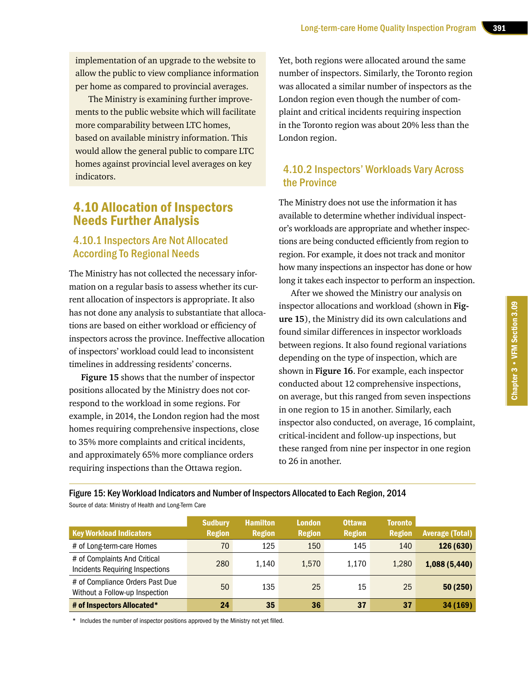implementation of an upgrade to the website to allow the public to view compliance information per home as compared to provincial averages.

The Ministry is examining further improvements to the public website which will facilitate more comparability between LTC homes, based on available ministry information. This would allow the general public to compare LTC homes against provincial level averages on key indicators.

### 4.10 Allocation of Inspectors Needs Further Analysis

### 4.10.1 Inspectors Are Not Allocated According To Regional Needs

The Ministry has not collected the necessary information on a regular basis to assess whether its current allocation of inspectors is appropriate. It also has not done any analysis to substantiate that allocations are based on either workload or efficiency of inspectors across the province. Ineffective allocation of inspectors' workload could lead to inconsistent timelines in addressing residents' concerns.

**Figure 15** shows that the number of inspector positions allocated by the Ministry does not correspond to the workload in some regions. For example, in 2014, the London region had the most homes requiring comprehensive inspections, close to 35% more complaints and critical incidents, and approximately 65% more compliance orders requiring inspections than the Ottawa region.

Source of data: Ministry of Health and Long-Term Care

Yet, both regions were allocated around the same number of inspectors. Similarly, the Toronto region was allocated a similar number of inspectors as the London region even though the number of complaint and critical incidents requiring inspection in the Toronto region was about 20% less than the London region.

### 4.10.2 Inspectors' Workloads Vary Across the Province

The Ministry does not use the information it has available to determine whether individual inspector's workloads are appropriate and whether inspections are being conducted efficiently from region to region. For example, it does not track and monitor how many inspections an inspector has done or how long it takes each inspector to perform an inspection.

After we showed the Ministry our analysis on inspector allocations and workload (shown in **Figure 15**), the Ministry did its own calculations and found similar differences in inspector workloads between regions. It also found regional variations depending on the type of inspection, which are shown in **Figure 16**. For example, each inspector conducted about 12 comprehensive inspections, on average, but this ranged from seven inspections in one region to 15 in another. Similarly, each inspector also conducted, on average, 16 complaint, critical-incident and follow-up inspections, but these ranged from nine per inspector in one region to 26 in another.

Figure 15: Key Workload Indicators and Number of Inspectors Allocated to Each Region, 2014

|                                                                   | <b>Sudbury</b> | <b>Hamilton</b> | <b>London</b> | <b>Ottawa</b> | <b>Toronto</b> |                        |
|-------------------------------------------------------------------|----------------|-----------------|---------------|---------------|----------------|------------------------|
| <b>Key Workload Indicators</b>                                    | <b>Region</b>  | <b>Region</b>   | <b>Region</b> | <b>Region</b> | <b>Region</b>  | <b>Average (Total)</b> |
| # of Long-term-care Homes                                         | 70             | 125             | 150           | 145           | 140            | 126 (630)              |
| # of Complaints And Critical<br>Incidents Requiring Inspections   | 280            | 1.140           | 1.570         | 1.170         | 1.280          | 1,088 (5,440)          |
| # of Compliance Orders Past Due<br>Without a Follow-up Inspection | 50             | 135             | 25            | 15            | 25             | 50 (250)               |
| # of Inspectors Allocated*                                        | 24             | 35              | 36            | 37            | 37             | 34 (169)               |

\* Includes the number of inspector positions approved by the Ministry not yet filled.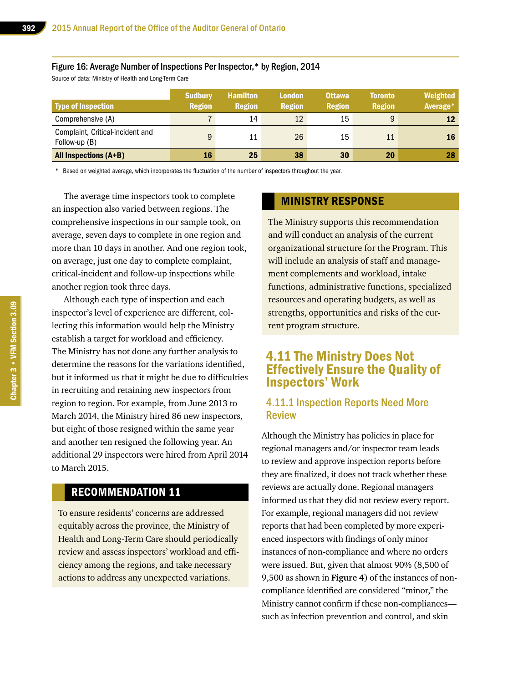#### Figure 16: Average Number of Inspections Per Inspector,\* by Region, 2014

Source of data: Ministry of Health and Long-Term Care

| <b>Type of Inspection</b>                         | <b>Sudbury</b><br><b>Region</b> | <b>Hamilton</b><br><b>Region</b> | <b>London</b><br><b>Region</b> | <b>Ottawa</b><br><b>Region</b> | <b>Toronto</b><br><b>Region</b> | Weighted<br>Average* |
|---------------------------------------------------|---------------------------------|----------------------------------|--------------------------------|--------------------------------|---------------------------------|----------------------|
| Comprehensive (A)                                 |                                 | 14                               | 12                             | 15                             | 9                               | 12                   |
| Complaint, Critical-incident and<br>Follow-up (B) | 9                               | 11                               | 26                             | 15                             | 11                              | 16                   |
| All Inspections (A+B)                             | 16                              | 25                               | 38                             | 30                             | 20                              | 28                   |

\* Based on weighted average, which incorporates the fluctuation of the number of inspectors throughout the year.

The average time inspectors took to complete an inspection also varied between regions. The comprehensive inspections in our sample took, on average, seven days to complete in one region and more than 10 days in another. And one region took, on average, just one day to complete complaint, critical-incident and follow-up inspections while another region took three days.

Although each type of inspection and each inspector's level of experience are different, collecting this information would help the Ministry establish a target for workload and efficiency. The Ministry has not done any further analysis to determine the reasons for the variations identified, but it informed us that it might be due to difficulties in recruiting and retaining new inspectors from region to region. For example, from June 2013 to March 2014, the Ministry hired 86 new inspectors, but eight of those resigned within the same year and another ten resigned the following year. An additional 29 inspectors were hired from April 2014 to March 2015.

### RECOMMENDATION 11

To ensure residents' concerns are addressed equitably across the province, the Ministry of Health and Long-Term Care should periodically review and assess inspectors' workload and efficiency among the regions, and take necessary actions to address any unexpected variations.

#### MINISTRY RESPONSE

The Ministry supports this recommendation and will conduct an analysis of the current organizational structure for the Program. This will include an analysis of staff and management complements and workload, intake functions, administrative functions, specialized resources and operating budgets, as well as strengths, opportunities and risks of the current program structure.

### 4.11 The Ministry Does Not Effectively Ensure the Quality of Inspectors' Work

### 4.11.1 Inspection Reports Need More Review

Although the Ministry has policies in place for regional managers and/or inspector team leads to review and approve inspection reports before they are finalized, it does not track whether these reviews are actually done. Regional managers informed us that they did not review every report. For example, regional managers did not review reports that had been completed by more experienced inspectors with findings of only minor instances of non-compliance and where no orders were issued. But, given that almost 90% (8,500 of 9,500 as shown in **Figure 4**) of the instances of noncompliance identified are considered "minor," the Ministry cannot confirm if these non-compliances such as infection prevention and control, and skin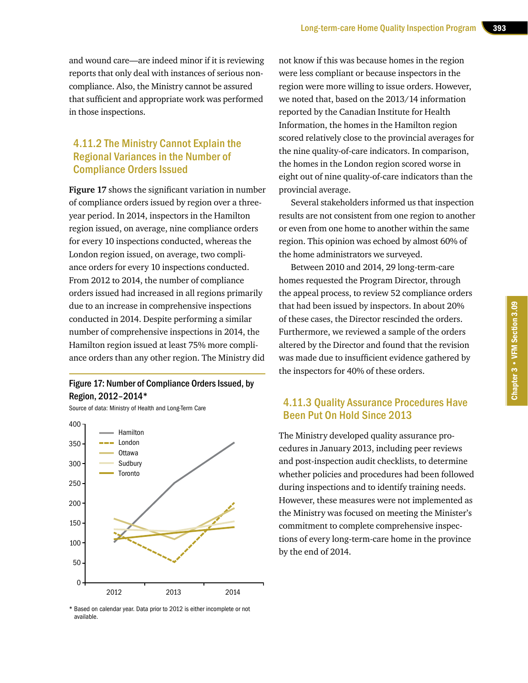and wound care—are indeed minor if it is reviewing reports that only deal with instances of serious noncompliance. Also, the Ministry cannot be assured that sufficient and appropriate work was performed in those inspections.

### 4.11.2 The Ministry Cannot Explain the Regional Variances in the Number of Compliance Orders Issued

**Figure 17** shows the significant variation in number of compliance orders issued by region over a threeyear period. In 2014, inspectors in the Hamilton region issued, on average, nine compliance orders for every 10 inspections conducted, whereas the London region issued, on average, two compliance orders for every 10 inspections conducted. From 2012 to 2014, the number of compliance orders issued had increased in all regions primarily due to an increase in comprehensive inspections conducted in 2014. Despite performing a similar number of comprehensive inspections in 2014, the Hamilton region issued at least 75% more compliance orders than any other region. The Ministry did

#### Figure 17: Number of Compliance Orders Issued, by Region, 2012–2014\*

Source of data: Ministry of Health and Long-Term Care



\* Based on calendar year. Data prior to 2012 is either incomplete or not available.

not know if this was because homes in the region were less compliant or because inspectors in the region were more willing to issue orders. However, we noted that, based on the 2013/14 information reported by the Canadian Institute for Health Information, the homes in the Hamilton region scored relatively close to the provincial averages for the nine quality-of-care indicators. In comparison, the homes in the London region scored worse in eight out of nine quality-of-care indicators than the provincial average.

Several stakeholders informed us that inspection results are not consistent from one region to another or even from one home to another within the same region. This opinion was echoed by almost 60% of the home administrators we surveyed.

Between 2010 and 2014, 29 long-term-care homes requested the Program Director, through the appeal process, to review 52 compliance orders that had been issued by inspectors. In about 20% of these cases, the Director rescinded the orders. Furthermore, we reviewed a sample of the orders altered by the Director and found that the revision was made due to insufficient evidence gathered by the inspectors for 40% of these orders.

### 4.11.3 Quality Assurance Procedures Have Been Put On Hold Since 2013

The Ministry developed quality assurance procedures in January 2013, including peer reviews and post-inspection audit checklists, to determine whether policies and procedures had been followed during inspections and to identify training needs. However, these measures were not implemented as the Ministry was focused on meeting the Minister's commitment to complete comprehensive inspections of every long-term-care home in the province by the end of 2014.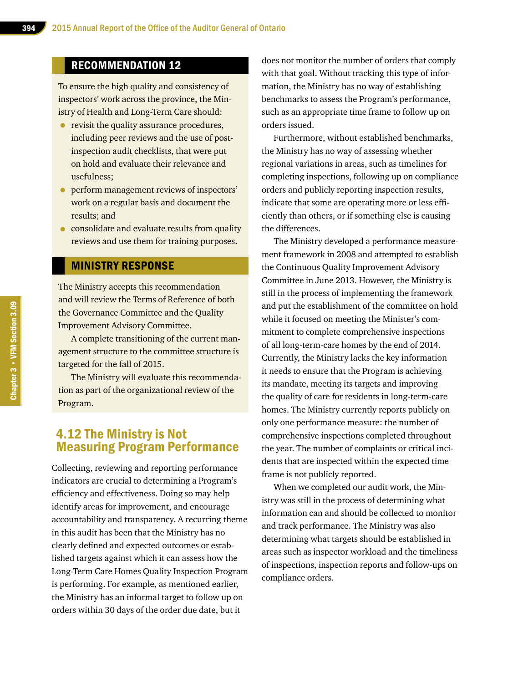### RECOMMENDATION 12

To ensure the high quality and consistency of inspectors' work across the province, the Ministry of Health and Long-Term Care should:

- revisit the quality assurance procedures, including peer reviews and the use of postinspection audit checklists, that were put on hold and evaluate their relevance and usefulness;
- perform management reviews of inspectors' work on a regular basis and document the results; and
- consolidate and evaluate results from quality reviews and use them for training purposes.

#### MINISTRY RESPONSE

The Ministry accepts this recommendation and will review the Terms of Reference of both the Governance Committee and the Quality Improvement Advisory Committee.

A complete transitioning of the current management structure to the committee structure is targeted for the fall of 2015.

The Ministry will evaluate this recommendation as part of the organizational review of the Program.

### 4.12 The Ministry is Not Measuring Program Performance

Collecting, reviewing and reporting performance indicators are crucial to determining a Program's efficiency and effectiveness. Doing so may help identify areas for improvement, and encourage accountability and transparency. A recurring theme in this audit has been that the Ministry has no clearly defined and expected outcomes or established targets against which it can assess how the Long-Term Care Homes Quality Inspection Program is performing. For example, as mentioned earlier, the Ministry has an informal target to follow up on orders within 30 days of the order due date, but it

does not monitor the number of orders that comply with that goal. Without tracking this type of information, the Ministry has no way of establishing benchmarks to assess the Program's performance, such as an appropriate time frame to follow up on orders issued.

Furthermore, without established benchmarks, the Ministry has no way of assessing whether regional variations in areas, such as timelines for completing inspections, following up on compliance orders and publicly reporting inspection results, indicate that some are operating more or less efficiently than others, or if something else is causing the differences.

The Ministry developed a performance measurement framework in 2008 and attempted to establish the Continuous Quality Improvement Advisory Committee in June 2013. However, the Ministry is still in the process of implementing the framework and put the establishment of the committee on hold while it focused on meeting the Minister's commitment to complete comprehensive inspections of all long-term-care homes by the end of 2014. Currently, the Ministry lacks the key information it needs to ensure that the Program is achieving its mandate, meeting its targets and improving the quality of care for residents in long-term-care homes. The Ministry currently reports publicly on only one performance measure: the number of comprehensive inspections completed throughout the year. The number of complaints or critical incidents that are inspected within the expected time frame is not publicly reported.

When we completed our audit work, the Ministry was still in the process of determining what information can and should be collected to monitor and track performance. The Ministry was also determining what targets should be established in areas such as inspector workload and the timeliness of inspections, inspection reports and follow-ups on compliance orders.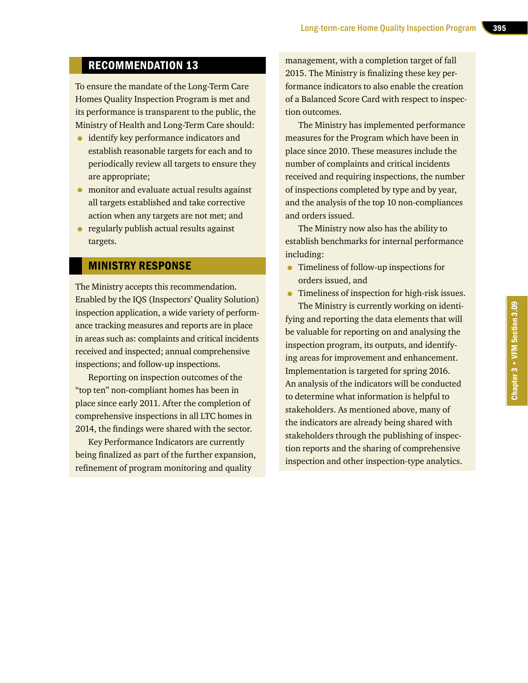### RECOMMENDATION 13

To ensure the mandate of the Long-Term Care Homes Quality Inspection Program is met and its performance is transparent to the public, the Ministry of Health and Long-Term Care should:

- **•** identify key performance indicators and establish reasonable targets for each and to periodically review all targets to ensure they are appropriate;
- monitor and evaluate actual results against all targets established and take corrective action when any targets are not met; and
- regularly publish actual results against targets.

### MINISTRY RESPONSE

The Ministry accepts this recommendation. Enabled by the IQS (Inspectors' Quality Solution) inspection application, a wide variety of performance tracking measures and reports are in place in areas such as: complaints and critical incidents received and inspected; annual comprehensive inspections; and follow-up inspections.

Reporting on inspection outcomes of the "top ten" non-compliant homes has been in place since early 2011. After the completion of comprehensive inspections in all LTC homes in 2014, the findings were shared with the sector.

Key Performance Indicators are currently being finalized as part of the further expansion, refinement of program monitoring and quality

management, with a completion target of fall 2015. The Ministry is finalizing these key performance indicators to also enable the creation of a Balanced Score Card with respect to inspection outcomes.

The Ministry has implemented performance measures for the Program which have been in place since 2010. These measures include the number of complaints and critical incidents received and requiring inspections, the number of inspections completed by type and by year, and the analysis of the top 10 non-compliances and orders issued.

The Ministry now also has the ability to establish benchmarks for internal performance including:

- Timeliness of follow-up inspections for orders issued, and
- Timeliness of inspection for high-risk issues.

The Ministry is currently working on identifying and reporting the data elements that will be valuable for reporting on and analysing the inspection program, its outputs, and identifying areas for improvement and enhancement. Implementation is targeted for spring 2016. An analysis of the indicators will be conducted to determine what information is helpful to stakeholders. As mentioned above, many of the indicators are already being shared with stakeholders through the publishing of inspection reports and the sharing of comprehensive inspection and other inspection-type analytics.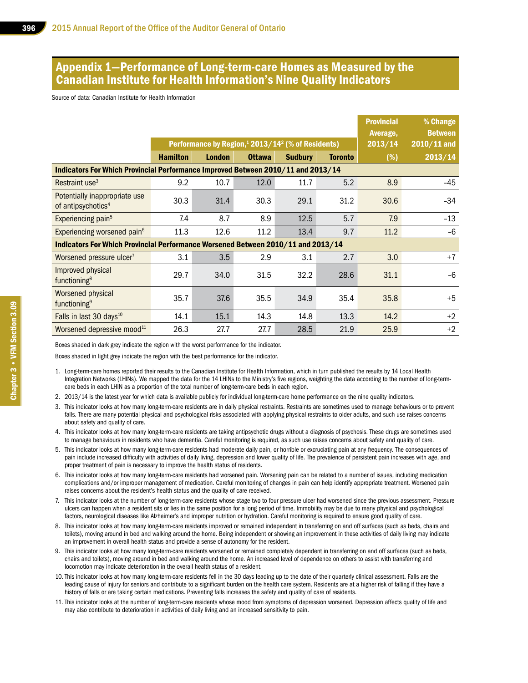### Appendix 1—Performance of Long-term-care Homes as Measured by the Canadian Institute for Health Information's Nine Quality Indicators

Source of data: Canadian Institute for Health Information

|                                                                                  |                 |                                                                           |               |                |                | <b>Provincial</b><br>Average, | % Change<br><b>Between</b> |
|----------------------------------------------------------------------------------|-----------------|---------------------------------------------------------------------------|---------------|----------------|----------------|-------------------------------|----------------------------|
|                                                                                  |                 | Performance by Region, <sup>1</sup> 2013/14 <sup>2</sup> (% of Residents) |               |                |                | 2013/14                       | $2010/11$ and              |
|                                                                                  | <b>Hamilton</b> | <b>London</b>                                                             | <b>Ottawa</b> | <b>Sudbury</b> | <b>Toronto</b> | (%)                           | 2013/14                    |
| Indicators For Which Provincial Performance Improved Between 2010/11 and 2013/14 |                 |                                                                           |               |                |                |                               |                            |
| Restraint use <sup>3</sup>                                                       | 9.2             | 10.7                                                                      | 12.0          | 11.7           | 5.2            | 8.9                           | -45                        |
| Potentially inappropriate use<br>of antipsychotics <sup>4</sup>                  | 30.3            | 31.4                                                                      | 30.3          | 29.1           | 31.2           | 30.6                          | $-34$                      |
| Experiencing pain <sup>5</sup>                                                   | 7.4             | 8.7                                                                       | 8.9           | 12.5           | 5.7            | 7.9                           | $-13$                      |
| Experiencing worsened pain <sup>6</sup>                                          | 11.3            | 12.6                                                                      | 11.2          | 13.4           | 9.7            | 11.2                          | -6                         |
| Indicators For Which Provincial Performance Worsened Between 2010/11 and 2013/14 |                 |                                                                           |               |                |                |                               |                            |
| Worsened pressure ulcer <sup>7</sup>                                             | 3.1             | 3.5                                                                       | 2.9           | 3.1            | 2.7            | 3.0                           | $+7$                       |
| Improved physical<br>functioning <sup>8</sup>                                    | 29.7            | 34.0                                                                      | 31.5          | 32.2           | 28.6           | 31.1                          | $-6$                       |
| Worsened physical<br>functioning <sup>9</sup>                                    | 35.7            | 37.6                                                                      | 35.5          | 34.9           | 35.4           | 35.8                          | $+5$                       |
| Falls in last 30 days <sup>10</sup>                                              | 14.1            | 15.1                                                                      | 14.3          | 14.8           | 13.3           | 14.2                          | $+2$                       |
| Worsened depressive mood <sup>11</sup>                                           | 26.3            | 27.7                                                                      | 27.7          | 28.5           | 21.9           | 25.9                          | $+2$                       |

Boxes shaded in dark grey indicate the region with the worst performance for the indicator.

Boxes shaded in light grey indicate the region with the best performance for the indicator.

- 1. Long-term-care homes reported their results to the Canadian Institute for Health Information, which in turn published the results by 14 Local Health Integration Networks (LHINs). We mapped the data for the 14 LHINs to the Ministry's five regions, weighting the data according to the number of long-termcare beds in each LHIN as a proportion of the total number of long-term-care beds in each region.
- 2. 2013/14 is the latest year for which data is available publicly for individual long-term-care home performance on the nine quality indicators.
- 3. This indicator looks at how many long-term-care residents are in daily physical restraints. Restraints are sometimes used to manage behaviours or to prevent falls. There are many potential physical and psychological risks associated with applying physical restraints to older adults, and such use raises concerns about safety and quality of care.
- 4. This indicator looks at how many long-term-care residents are taking antipsychotic drugs without a diagnosis of psychosis. These drugs are sometimes used to manage behaviours in residents who have dementia. Careful monitoring is required, as such use raises concerns about safety and quality of care.
- 5. This indicator looks at how many long-term-care residents had moderate daily pain, or horrible or excruciating pain at any frequency. The consequences of pain include increased difficulty with activities of daily living, depression and lower quality of life. The prevalence of persistent pain increases with age, and proper treatment of pain is necessary to improve the health status of residents.
- 6. This indicator looks at how many long-term-care residents had worsened pain. Worsening pain can be related to a number of issues, including medication complications and/or improper management of medication. Careful monitoring of changes in pain can help identify appropriate treatment. Worsened pain raises concerns about the resident's health status and the quality of care received.
- 7. This indicator looks at the number of long-term-care residents whose stage two to four pressure ulcer had worsened since the previous assessment. Pressure ulcers can happen when a resident sits or lies in the same position for a long period of time. Immobility may be due to many physical and psychological factors, neurological diseases like Alzheimer's and improper nutrition or hydration. Careful monitoring is required to ensure good quality of care.
- 8. This indicator looks at how many long-term-care residents improved or remained independent in transferring on and off surfaces (such as beds, chairs and toilets), moving around in bed and walking around the home. Being independent or showing an improvement in these activities of daily living may indicate an improvement in overall health status and provide a sense of autonomy for the resident.
- 9. This indicator looks at how many long-term-care residents worsened or remained completely dependent in transferring on and off surfaces (such as beds, chairs and toilets), moving around in bed and walking around the home. An increased level of dependence on others to assist with transferring and locomotion may indicate deterioration in the overall health status of a resident.
- 10.This indicator looks at how many long-term-care residents fell in the 30 days leading up to the date of their quarterly clinical assessment. Falls are the leading cause of injury for seniors and contribute to a significant burden on the health care system. Residents are at a higher risk of falling if they have a history of falls or are taking certain medications. Preventing falls increases the safety and quality of care of residents.
- 11. This indicator looks at the number of long-term-care residents whose mood from symptoms of depression worsened. Depression affects quality of life and may also contribute to deterioration in activities of daily living and an increased sensitivity to pain.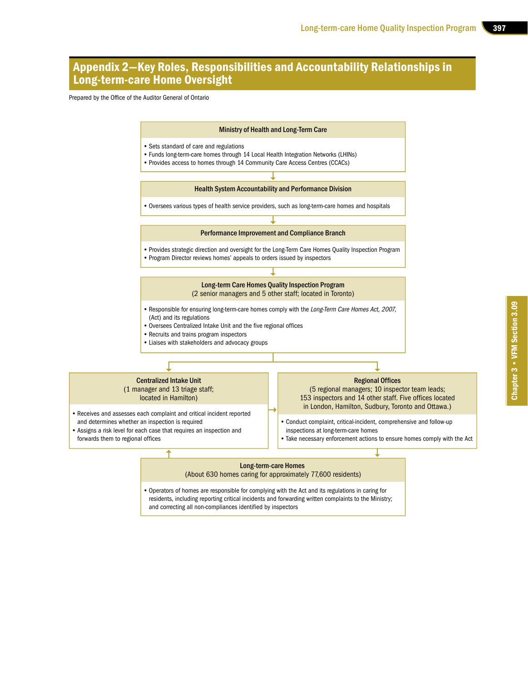### Appendix 2—Key Roles, Responsibilities and Accountability Relationships in Long-term-care Home Oversight

Prepared by the Office of the Auditor General of Ontario

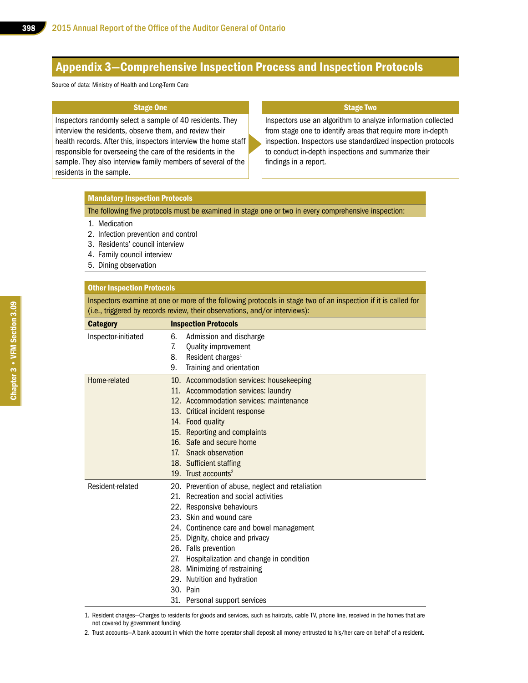### Appendix 3—Comprehensive Inspection Process and Inspection Protocols

Source of data: Ministry of Health and Long-Term Care

#### Stage One

Inspectors randomly select a sample of 40 residents. They interview the residents, observe them, and review their health records. After this, inspectors interview the home staff responsible for overseeing the care of the residents in the sample. They also interview family members of several of the residents in the sample.

#### Stage Two

Inspectors use an algorithm to analyze information collected from stage one to identify areas that require more in-depth inspection. Inspectors use standardized inspection protocols to conduct in-depth inspections and summarize their findings in a report.

#### Mandatory Inspection Protocols

The following five protocols must be examined in stage one or two in every comprehensive inspection:

#### 1. Medication

- 2. Infection prevention and control
- 3. Residents' council interview
- 4. Family council interview
- 5. Dining observation

#### Other Inspection Protocols

Inspectors examine at one or more of the following protocols in stage two of an inspection if it is called for (i.e., triggered by records review, their observations, and/or interviews):

| <b>Category</b>     |     | <b>Inspection Protocols</b>                      |
|---------------------|-----|--------------------------------------------------|
| Inspector-initiated | 6.  | Admission and discharge                          |
|                     | 7.  | Quality improvement                              |
|                     | 8.  | Resident charges <sup>1</sup>                    |
|                     | 9.  | Training and orientation                         |
| Home-related        |     | 10. Accommodation services: housekeeping         |
|                     |     | 11. Accommodation services: laundry              |
|                     |     | 12. Accommodation services: maintenance          |
|                     |     | 13. Critical incident response                   |
|                     |     | 14. Food quality                                 |
|                     |     | 15. Reporting and complaints                     |
|                     |     | 16. Safe and secure home                         |
|                     | 17. | Snack observation                                |
|                     |     | 18. Sufficient staffing                          |
|                     |     | 19. Trust accounts <sup>2</sup>                  |
| Resident-related    |     | 20. Prevention of abuse, neglect and retaliation |
|                     |     | 21. Recreation and social activities             |
|                     |     | 22. Responsive behaviours                        |
|                     |     | 23. Skin and wound care                          |
|                     |     | 24. Continence care and bowel management         |
|                     |     | 25. Dignity, choice and privacy                  |
|                     |     | 26. Falls prevention                             |
|                     | 27. | Hospitalization and change in condition          |
|                     |     | 28. Minimizing of restraining                    |
|                     |     | 29. Nutrition and hydration                      |
|                     |     | 30. Pain                                         |
|                     |     | 31. Personal support services                    |

1. Resident charges—Charges to residents for goods and services, such as haircuts, cable TV, phone line, received in the homes that are not covered by government funding.

2. Trust accounts—A bank account in which the home operator shall deposit all money entrusted to his/her care on behalf of a resident.